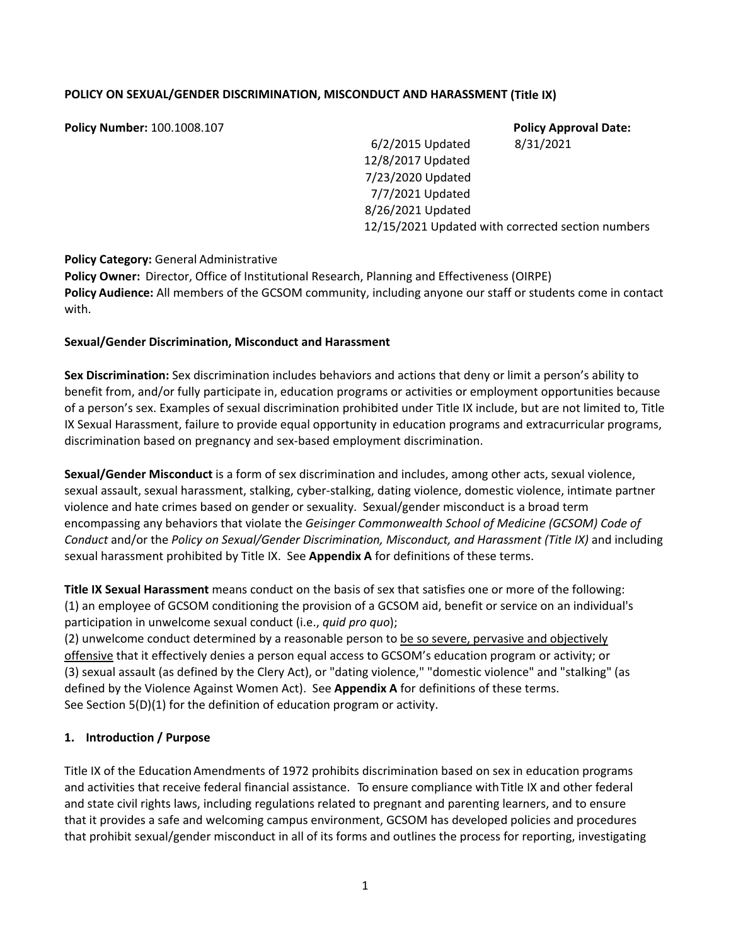## **POLICY ON SEXUAL/GENDER DISCRIMINATION, MISCONDUCT AND HARASSMENT (Title IX)**

**Policy Number:** 100.1008.107 **Policy Approval Date:** 6/2/2015 Updated 8/31/2021 12/8/2017 Updated 7/23/2020 Updated 7/7/2021 Updated 8/26/2021 Updated 12/15/2021 Updated with corrected section numbers

### **Policy Category:** General Administrative

**Policy Owner:** Director, Office of Institutional Research, Planning and Effectiveness (OIRPE) **Policy Audience:** All members of the GCSOM community, including anyone our staff or students come in contact with.

### **Sexual/Gender Discrimination, Misconduct and Harassment**

**Sex Discrimination:** Sex discrimination includes behaviors and actions that deny or limit a person's ability to benefit from, and/or fully participate in, education programs or activities or employment opportunities because of a person's sex. Examples of sexual discrimination prohibited under Title IX include, but are not limited to, Title IX Sexual Harassment, failure to provide equal opportunity in education programs and extracurricular programs, discrimination based on pregnancy and sex‐based employment discrimination.

**Sexual/Gender Misconduct** is a form of sex discrimination and includes, among other acts, sexual violence, sexual assault, sexual harassment, stalking, cyber‐stalking, dating violence, domestic violence, intimate partner violence and hate crimes based on gender or sexuality. Sexual/gender misconduct is a broad term encompassing any behaviors that violate the *Geisinger Commonwealth School of Medicine (GCSOM) Code of Conduct* and/or the *Policy on Sexual/Gender Discrimination, Misconduct, and Harassment (Title IX)* and including sexual harassment prohibited by Title IX. See **Appendix A** for definitions of these terms.

**Title IX Sexual Harassment** means conduct on the basis of sex that satisfies one or more of the following: (1) an employee of GCSOM conditioning the provision of a GCSOM aid, benefit or service on an individual's participation in unwelcome sexual conduct (i.e., *quid pro quo*);

 $(2)$  unwelcome conduct determined by a reasonable person to be so severe, pervasive and objectively offensive that it effectively denies a person equal access to GCSOM's education program or activity; or (3) sexual assault (as defined by the Clery Act), or "dating violence," "domestic violence" and "stalking" (as defined by the Violence Against Women Act). See **Appendix A** for definitions of these terms. See Section 5(D)(1) for the definition of education program or activity.

### **1. Introduction / Purpose**

Title IX of the EducationAmendments of 1972 prohibits discrimination based on sex in education programs and activities that receive federal financial assistance. To ensure compliance with Title IX and other federal and state civil rights laws, including regulations related to pregnant and parenting learners, and to ensure that it provides a safe and welcoming campus environment, GCSOM has developed policies and procedures that prohibit sexual/gender misconduct in all of its forms and outlines the process for reporting, investigating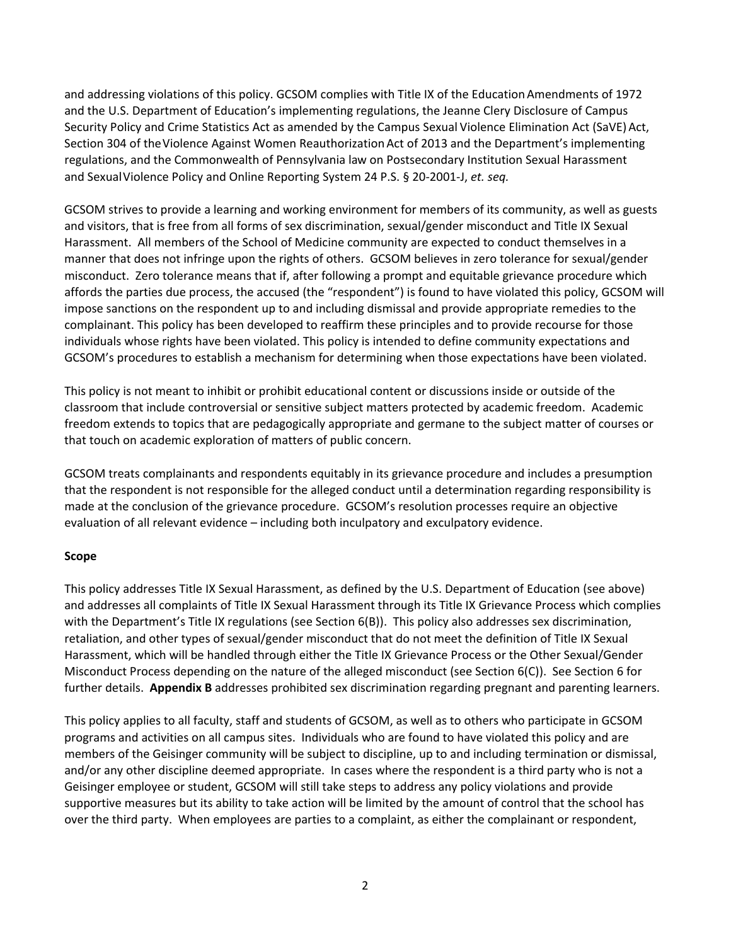and addressing violations of this policy. GCSOM complies with Title IX of the EducationAmendments of 1972 and the U.S. Department of Education's implementing regulations, the Jeanne Clery Disclosure of Campus Security Policy and Crime Statistics Act as amended by the Campus Sexual Violence Elimination Act (SaVE) Act, Section 304 of the Violence Against Women Reauthorization Act of 2013 and the Department's implementing regulations, and the Commonwealth of Pennsylvania law on Postsecondary Institution Sexual Harassment and SexualViolence Policy and Online Reporting System 24 P.S. § 20‐2001‐J, *et. seq.*

GCSOM strives to provide a learning and working environment for members of its community, as well as guests and visitors, that is free from all forms of sex discrimination, sexual/gender misconduct and Title IX Sexual Harassment. All members of the School of Medicine community are expected to conduct themselves in a manner that does not infringe upon the rights of others. GCSOM believes in zero tolerance for sexual/gender misconduct. Zero tolerance means that if, after following a prompt and equitable grievance procedure which affords the parties due process, the accused (the "respondent") is found to have violated this policy, GCSOM will impose sanctions on the respondent up to and including dismissal and provide appropriate remedies to the complainant. This policy has been developed to reaffirm these principles and to provide recourse for those individuals whose rights have been violated. This policy is intended to define community expectations and GCSOM's procedures to establish a mechanism for determining when those expectations have been violated.

This policy is not meant to inhibit or prohibit educational content or discussions inside or outside of the classroom that include controversial or sensitive subject matters protected by academic freedom. Academic freedom extends to topics that are pedagogically appropriate and germane to the subject matter of courses or that touch on academic exploration of matters of public concern.

GCSOM treats complainants and respondents equitably in its grievance procedure and includes a presumption that the respondent is not responsible for the alleged conduct until a determination regarding responsibility is made at the conclusion of the grievance procedure. GCSOM's resolution processes require an objective evaluation of all relevant evidence – including both inculpatory and exculpatory evidence.

### **Scope**

This policy addresses Title IX Sexual Harassment, as defined by the U.S. Department of Education (see above) and addresses all complaints of Title IX Sexual Harassment through its Title IX Grievance Process which complies with the Department's Title IX regulations (see Section 6(B)). This policy also addresses sex discrimination, retaliation, and other types of sexual/gender misconduct that do not meet the definition of Title IX Sexual Harassment, which will be handled through either the Title IX Grievance Process or the Other Sexual/Gender Misconduct Process depending on the nature of the alleged misconduct (see Section 6(C)). See Section 6 for further details. **Appendix B** addresses prohibited sex discrimination regarding pregnant and parenting learners.

This policy applies to all faculty, staff and students of GCSOM, as well as to others who participate in GCSOM programs and activities on all campus sites. Individuals who are found to have violated this policy and are members of the Geisinger community will be subject to discipline, up to and including termination or dismissal, and/or any other discipline deemed appropriate. In cases where the respondent is a third party who is not a Geisinger employee or student, GCSOM will still take steps to address any policy violations and provide supportive measures but its ability to take action will be limited by the amount of control that the school has over the third party. When employees are parties to a complaint, as either the complainant or respondent,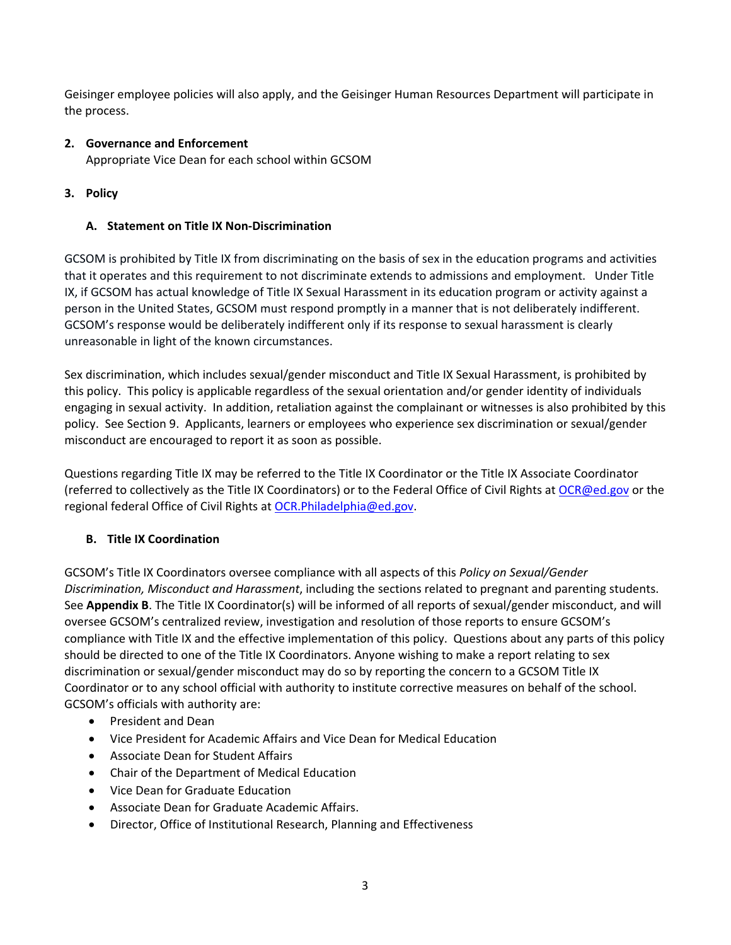Geisinger employee policies will also apply, and the Geisinger Human Resources Department will participate in the process.

## **2. Governance and Enforcement**

Appropriate Vice Dean for each school within GCSOM

## **3. Policy**

## **A. Statement on Title IX Non‐Discrimination**

GCSOM is prohibited by Title IX from discriminating on the basis of sex in the education programs and activities that it operates and this requirement to not discriminate extends to admissions and employment. Under Title IX, if GCSOM has actual knowledge of Title IX Sexual Harassment in its education program or activity against a person in the United States, GCSOM must respond promptly in a manner that is not deliberately indifferent. GCSOM's response would be deliberately indifferent only if its response to sexual harassment is clearly unreasonable in light of the known circumstances.

Sex discrimination, which includes sexual/gender misconduct and Title IX Sexual Harassment, is prohibited by this policy. This policy is applicable regardless of the sexual orientation and/or gender identity of individuals engaging in sexual activity. In addition, retaliation against the complainant or witnesses is also prohibited by this policy. See Section 9. Applicants, learners or employees who experience sex discrimination or sexual/gender misconduct are encouraged to report it as soon as possible.

Questions regarding Title IX may be referred to the Title IX Coordinator or the Title IX Associate Coordinator (referred to collectively as the Title IX Coordinators) or to the Federal Office of Civil Rights at OCR@ed.gov or the regional federal Office of Civil Rights at OCR.Philadelphia@ed.gov.

# **B. Title IX Coordination**

GCSOM's Title IX Coordinators oversee compliance with all aspects of this *Policy on Sexual/Gender Discrimination, Misconduct and Harassment*, including the sections related to pregnant and parenting students. See **Appendix B**. The Title IX Coordinator(s) will be informed of all reports of sexual/gender misconduct, and will oversee GCSOM's centralized review, investigation and resolution of those reports to ensure GCSOM's compliance with Title IX and the effective implementation of this policy. Questions about any parts of this policy should be directed to one of the Title IX Coordinators. Anyone wishing to make a report relating to sex discrimination or sexual/gender misconduct may do so by reporting the concern to a GCSOM Title IX Coordinator or to any school official with authority to institute corrective measures on behalf of the school. GCSOM's officials with authority are:

- President and Dean
- Vice President for Academic Affairs and Vice Dean for Medical Education
- Associate Dean for Student Affairs
- Chair of the Department of Medical Education
- Vice Dean for Graduate Education
- Associate Dean for Graduate Academic Affairs.
- Director, Office of Institutional Research, Planning and Effectiveness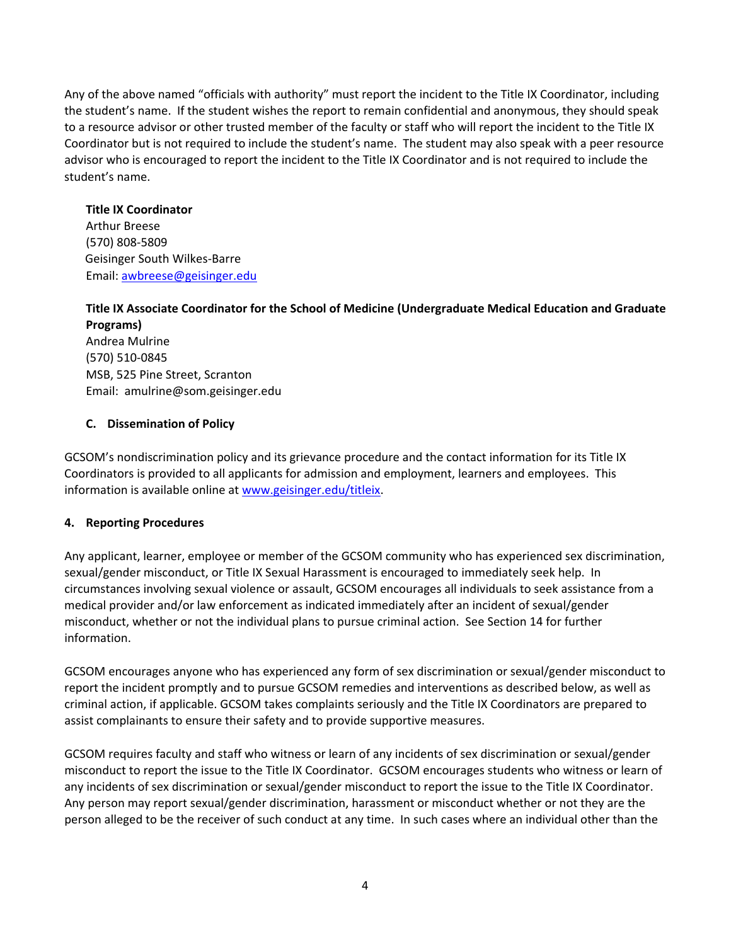Any of the above named "officials with authority" must report the incident to the Title IX Coordinator, including the student's name. If the student wishes the report to remain confidential and anonymous, they should speak to a resource advisor or other trusted member of the faculty or staff who will report the incident to the Title IX Coordinator but is not required to include the student's name. The student may also speak with a peer resource advisor who is encouraged to report the incident to the Title IX Coordinator and is not required to include the student's name.

### **Title IX Coordinator**

Arthur Breese (570) 808‐5809 Geisinger South Wilkes‐Barre Email: awbreese@geisinger.edu

## **Title IX Associate Coordinator for the School of Medicine (Undergraduate Medical Education and Graduate Programs)**

Andrea Mulrine (570) 510‐0845 MSB, 525 Pine Street, Scranton Email: amulrine@som.geisinger.edu

## **C. Dissemination of Policy**

GCSOM's nondiscrimination policy and its grievance procedure and the contact information for its Title IX Coordinators is provided to all applicants for admission and employment, learners and employees. This information is available online at www.geisinger.edu/titleix.

## **4. Reporting Procedures**

Any applicant, learner, employee or member of the GCSOM community who has experienced sex discrimination, sexual/gender misconduct, or Title IX Sexual Harassment is encouraged to immediately seek help. In circumstances involving sexual violence or assault, GCSOM encourages all individuals to seek assistance from a medical provider and/or law enforcement as indicated immediately after an incident of sexual/gender misconduct, whether or not the individual plans to pursue criminal action. See Section 14 for further information.

GCSOM encourages anyone who has experienced any form of sex discrimination or sexual/gender misconduct to report the incident promptly and to pursue GCSOM remedies and interventions as described below, as well as criminal action, if applicable. GCSOM takes complaints seriously and the Title IX Coordinators are prepared to assist complainants to ensure their safety and to provide supportive measures.

GCSOM requires faculty and staff who witness or learn of any incidents of sex discrimination or sexual/gender misconduct to report the issue to the Title IX Coordinator. GCSOM encourages students who witness or learn of any incidents of sex discrimination or sexual/gender misconduct to report the issue to the Title IX Coordinator. Any person may report sexual/gender discrimination, harassment or misconduct whether or not they are the person alleged to be the receiver of such conduct at any time. In such cases where an individual other than the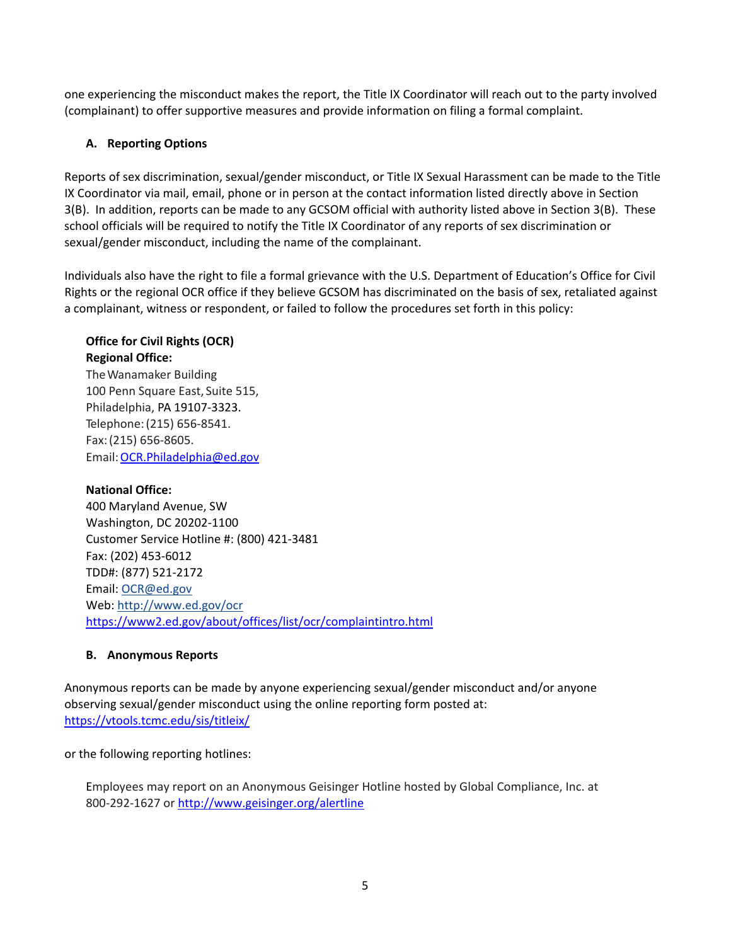one experiencing the misconduct makes the report, the Title IX Coordinator will reach out to the party involved (complainant) to offer supportive measures and provide information on filing a formal complaint.

## **A. Reporting Options**

Reports of sex discrimination, sexual/gender misconduct, or Title IX Sexual Harassment can be made to the Title IX Coordinator via mail, email, phone or in person at the contact information listed directly above in Section 3(B). In addition, reports can be made to any GCSOM official with authority listed above in Section 3(B). These school officials will be required to notify the Title IX Coordinator of any reports of sex discrimination or sexual/gender misconduct, including the name of the complainant.

Individuals also have the right to file a formal grievance with the U.S. Department of Education's Office for Civil Rights or the regional OCR office if they believe GCSOM has discriminated on the basis of sex, retaliated against a complainant, witness or respondent, or failed to follow the procedures set forth in this policy:

## **Office for Civil Rights (OCR) Regional Office:**

TheWanamaker Building 100 Penn Square East, Suite 515, Philadelphia, PA 19107‐3323. Telephone:(215) 656‐8541. Fax:(215) 656‐8605. Email:OCR.Philadelphia@ed.gov

# **National Office:**

400 Maryland Avenue, SW Washington, DC 20202‐1100 Customer Service Hotline #: (800) 421‐3481 Fax: (202) 453‐6012 TDD#: (877) 521‐2172 Email: OCR@ed.gov Web: http://www.ed.gov/ocr https://www2.ed.gov/about/offices/list/ocr/complaintintro.html

## **B. Anonymous Reports**

Anonymous reports can be made by anyone experiencing sexual/gender misconduct and/or anyone observing sexual/gender misconduct using the online reporting form posted at: https://vtools.tcmc.edu/sis/titleix/

## or the following reporting hotlines:

Employees may report on an Anonymous Geisinger Hotline hosted by Global Compliance, Inc. at 800‐292‐1627 or http://www.geisinger.org/alertline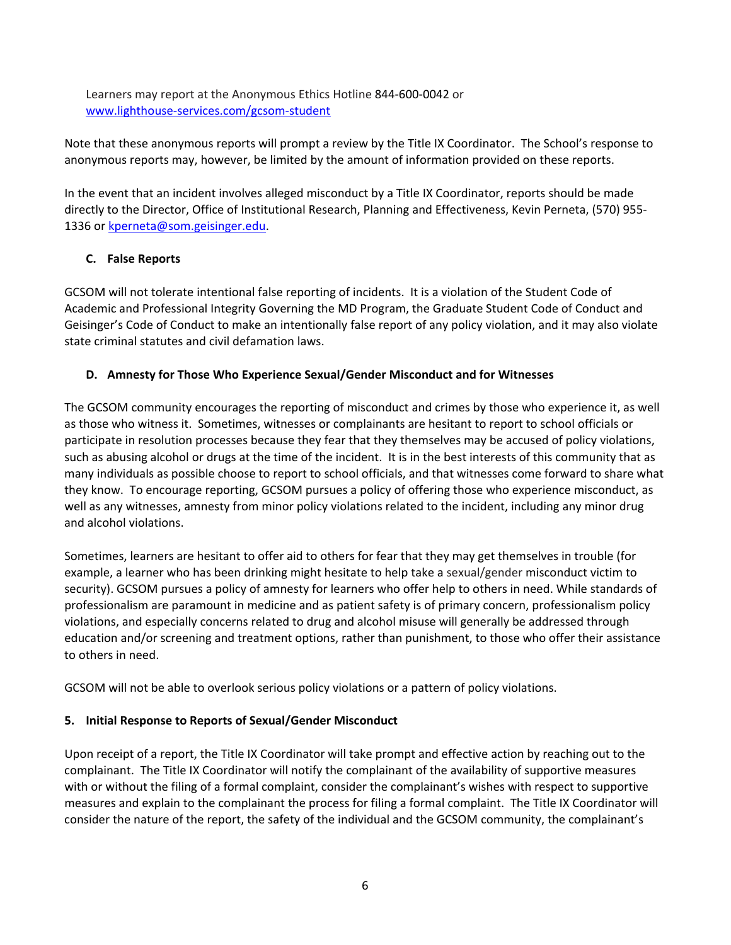Learners may report at the Anonymous Ethics Hotline 844‐600‐0042 or www.lighthouse‐services.com/gcsom‐student

Note that these anonymous reports will prompt a review by the Title IX Coordinator. The School's response to anonymous reports may, however, be limited by the amount of information provided on these reports.

In the event that an incident involves alleged misconduct by a Title IX Coordinator, reports should be made directly to the Director, Office of Institutional Research, Planning and Effectiveness, Kevin Perneta, (570) 955‐ 1336 or kperneta@som.geisinger.edu.

# **C. False Reports**

GCSOM will not tolerate intentional false reporting of incidents. It is a violation of the Student Code of Academic and Professional Integrity Governing the MD Program, the Graduate Student Code of Conduct and Geisinger's Code of Conduct to make an intentionally false report of any policy violation, and it may also violate state criminal statutes and civil defamation laws.

## **D. Amnesty for Those Who Experience Sexual/Gender Misconduct and for Witnesses**

The GCSOM community encourages the reporting of misconduct and crimes by those who experience it, as well as those who witness it. Sometimes, witnesses or complainants are hesitant to report to school officials or participate in resolution processes because they fear that they themselves may be accused of policy violations, such as abusing alcohol or drugs at the time of the incident. It is in the best interests of this community that as many individuals as possible choose to report to school officials, and that witnesses come forward to share what they know. To encourage reporting, GCSOM pursues a policy of offering those who experience misconduct, as well as any witnesses, amnesty from minor policy violations related to the incident, including any minor drug and alcohol violations.

Sometimes, learners are hesitant to offer aid to others for fear that they may get themselves in trouble (for example, a learner who has been drinking might hesitate to help take a sexual/gender misconduct victim to security). GCSOM pursues a policy of amnesty for learners who offer help to others in need. While standards of professionalism are paramount in medicine and as patient safety is of primary concern, professionalism policy violations, and especially concerns related to drug and alcohol misuse will generally be addressed through education and/or screening and treatment options, rather than punishment, to those who offer their assistance to others in need.

GCSOM will not be able to overlook serious policy violations or a pattern of policy violations.

## **5. Initial Response to Reports of Sexual/Gender Misconduct**

Upon receipt of a report, the Title IX Coordinator will take prompt and effective action by reaching out to the complainant. The Title IX Coordinator will notify the complainant of the availability of supportive measures with or without the filing of a formal complaint, consider the complainant's wishes with respect to supportive measures and explain to the complainant the process for filing a formal complaint. The Title IX Coordinator will consider the nature of the report, the safety of the individual and the GCSOM community, the complainant's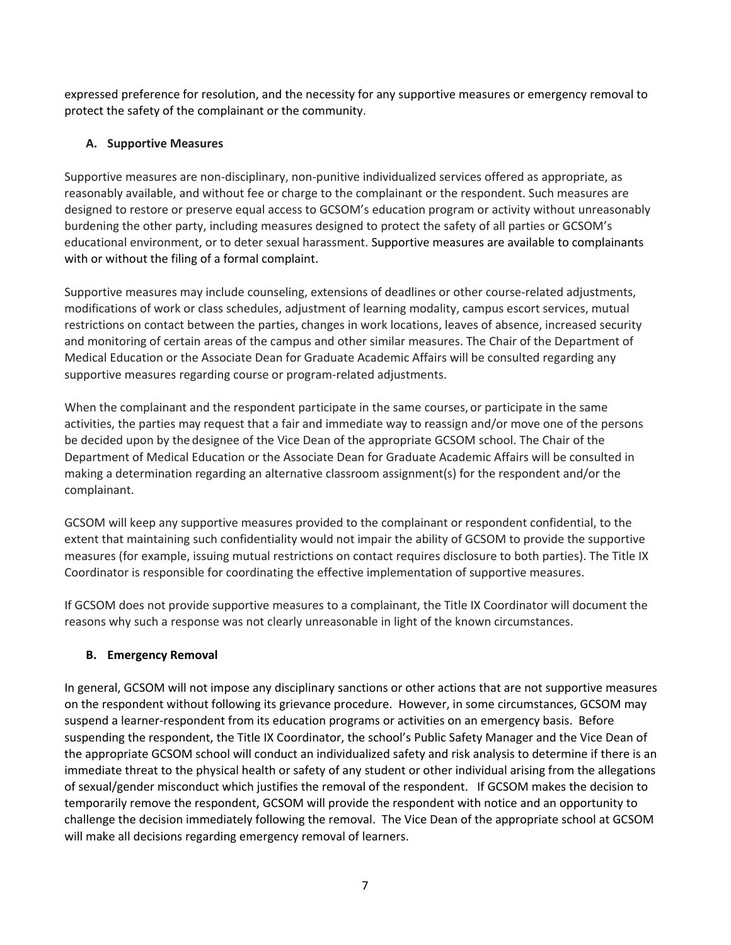expressed preference for resolution, and the necessity for any supportive measures or emergency removal to protect the safety of the complainant or the community.

## **A. Supportive Measures**

Supportive measures are non‐disciplinary, non‐punitive individualized services offered as appropriate, as reasonably available, and without fee or charge to the complainant or the respondent. Such measures are designed to restore or preserve equal access to GCSOM's education program or activity without unreasonably burdening the other party, including measures designed to protect the safety of all parties or GCSOM's educational environment, or to deter sexual harassment. Supportive measures are available to complainants with or without the filing of a formal complaint.

Supportive measures may include counseling, extensions of deadlines or other course-related adjustments, modifications of work or class schedules, adjustment of learning modality, campus escort services, mutual restrictions on contact between the parties, changes in work locations, leaves of absence, increased security and monitoring of certain areas of the campus and other similar measures. The Chair of the Department of Medical Education or the Associate Dean for Graduate Academic Affairs will be consulted regarding any supportive measures regarding course or program‐related adjustments.

When the complainant and the respondent participate in the same courses, or participate in the same activities, the parties may request that a fair and immediate way to reassign and/or move one of the persons be decided upon by the designee of the Vice Dean of the appropriate GCSOM school. The Chair of the Department of Medical Education or the Associate Dean for Graduate Academic Affairs will be consulted in making a determination regarding an alternative classroom assignment(s) for the respondent and/or the complainant.

GCSOM will keep any supportive measures provided to the complainant or respondent confidential, to the extent that maintaining such confidentiality would not impair the ability of GCSOM to provide the supportive measures (for example, issuing mutual restrictions on contact requires disclosure to both parties). The Title IX Coordinator is responsible for coordinating the effective implementation of supportive measures.

If GCSOM does not provide supportive measures to a complainant, the Title IX Coordinator will document the reasons why such a response was not clearly unreasonable in light of the known circumstances.

# **B. Emergency Removal**

In general, GCSOM will not impose any disciplinary sanctions or other actions that are not supportive measures on the respondent without following its grievance procedure. However, in some circumstances, GCSOM may suspend a learner-respondent from its education programs or activities on an emergency basis. Before suspending the respondent, the Title IX Coordinator, the school's Public Safety Manager and the Vice Dean of the appropriate GCSOM school will conduct an individualized safety and risk analysis to determine if there is an immediate threat to the physical health or safety of any student or other individual arising from the allegations of sexual/gender misconduct which justifies the removal of the respondent. If GCSOM makes the decision to temporarily remove the respondent, GCSOM will provide the respondent with notice and an opportunity to challenge the decision immediately following the removal. The Vice Dean of the appropriate school at GCSOM will make all decisions regarding emergency removal of learners.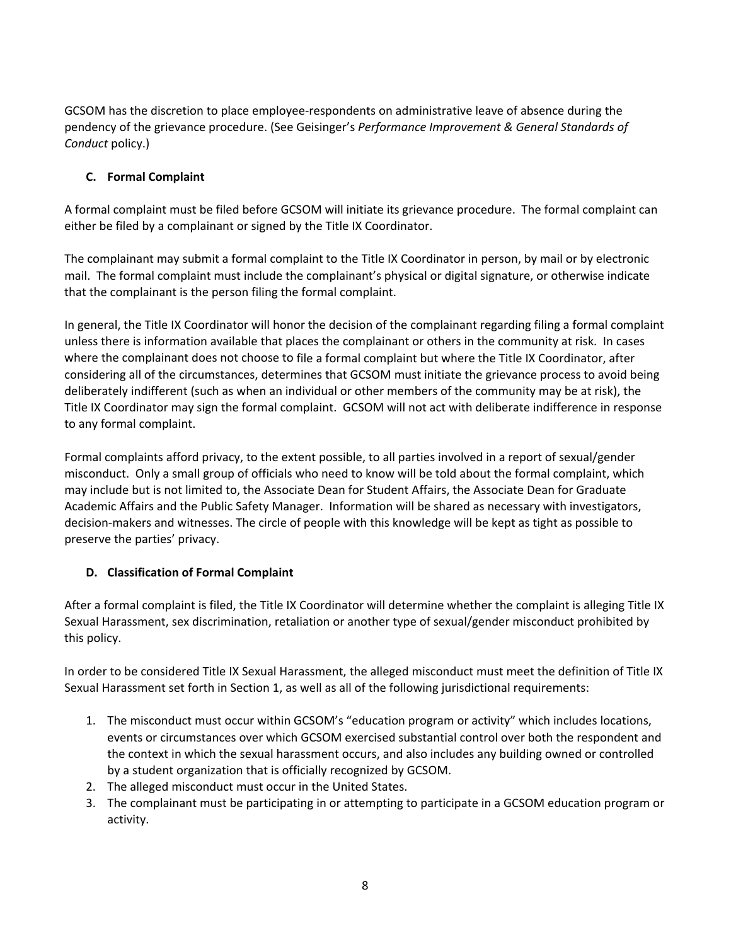GCSOM has the discretion to place employee‐respondents on administrative leave of absence during the pendency of the grievance procedure. (See Geisinger's *Performance Improvement & General Standards of Conduct* policy.)

# **C. Formal Complaint**

A formal complaint must be filed before GCSOM will initiate its grievance procedure. The formal complaint can either be filed by a complainant or signed by the Title IX Coordinator.

The complainant may submit a formal complaint to the Title IX Coordinator in person, by mail or by electronic mail. The formal complaint must include the complainant's physical or digital signature, or otherwise indicate that the complainant is the person filing the formal complaint.

In general, the Title IX Coordinator will honor the decision of the complainant regarding filing a formal complaint unless there is information available that places the complainant or others in the community at risk. In cases where the complainant does not choose to file a formal complaint but where the Title IX Coordinator, after considering all of the circumstances, determines that GCSOM must initiate the grievance process to avoid being deliberately indifferent (such as when an individual or other members of the community may be at risk), the Title IX Coordinator may sign the formal complaint. GCSOM will not act with deliberate indifference in response to any formal complaint.

Formal complaints afford privacy, to the extent possible, to all parties involved in a report of sexual/gender misconduct. Only a small group of officials who need to know will be told about the formal complaint, which may include but is not limited to, the Associate Dean for Student Affairs, the Associate Dean for Graduate Academic Affairs and the Public Safety Manager. Information will be shared as necessary with investigators, decision‐makers and witnesses. The circle of people with this knowledge will be kept as tight as possible to preserve the parties' privacy.

# **D. Classification of Formal Complaint**

After a formal complaint is filed, the Title IX Coordinator will determine whether the complaint is alleging Title IX Sexual Harassment, sex discrimination, retaliation or another type of sexual/gender misconduct prohibited by this policy.

In order to be considered Title IX Sexual Harassment, the alleged misconduct must meet the definition of Title IX Sexual Harassment set forth in Section 1, as well as all of the following jurisdictional requirements:

- 1. The misconduct must occur within GCSOM's "education program or activity" which includes locations, events or circumstances over which GCSOM exercised substantial control over both the respondent and the context in which the sexual harassment occurs, and also includes any building owned or controlled by a student organization that is officially recognized by GCSOM.
- 2. The alleged misconduct must occur in the United States.
- 3. The complainant must be participating in or attempting to participate in a GCSOM education program or activity.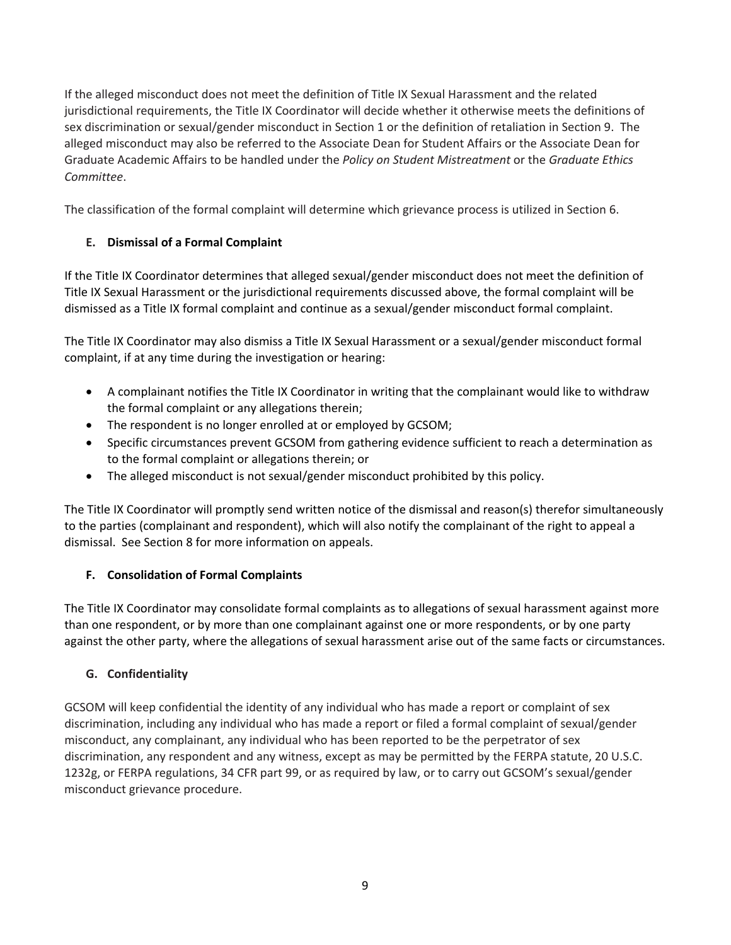If the alleged misconduct does not meet the definition of Title IX Sexual Harassment and the related jurisdictional requirements, the Title IX Coordinator will decide whether it otherwise meets the definitions of sex discrimination or sexual/gender misconduct in Section 1 or the definition of retaliation in Section 9. The alleged misconduct may also be referred to the Associate Dean for Student Affairs or the Associate Dean for Graduate Academic Affairs to be handled under the *Policy on Student Mistreatment* or the *Graduate Ethics Committee*.

The classification of the formal complaint will determine which grievance process is utilized in Section 6.

# **E. Dismissal of a Formal Complaint**

If the Title IX Coordinator determines that alleged sexual/gender misconduct does not meet the definition of Title IX Sexual Harassment or the jurisdictional requirements discussed above, the formal complaint will be dismissed as a Title IX formal complaint and continue as a sexual/gender misconduct formal complaint.

The Title IX Coordinator may also dismiss a Title IX Sexual Harassment or a sexual/gender misconduct formal complaint, if at any time during the investigation or hearing:

- A complainant notifies the Title IX Coordinator in writing that the complainant would like to withdraw the formal complaint or any allegations therein;
- The respondent is no longer enrolled at or employed by GCSOM;
- Specific circumstances prevent GCSOM from gathering evidence sufficient to reach a determination as to the formal complaint or allegations therein; or
- The alleged misconduct is not sexual/gender misconduct prohibited by this policy.

The Title IX Coordinator will promptly send written notice of the dismissal and reason(s) therefor simultaneously to the parties (complainant and respondent), which will also notify the complainant of the right to appeal a dismissal. See Section 8 for more information on appeals.

# **F. Consolidation of Formal Complaints**

The Title IX Coordinator may consolidate formal complaints as to allegations of sexual harassment against more than one respondent, or by more than one complainant against one or more respondents, or by one party against the other party, where the allegations of sexual harassment arise out of the same facts or circumstances.

# **G. Confidentiality**

GCSOM will keep confidential the identity of any individual who has made a report or complaint of sex discrimination, including any individual who has made a report or filed a formal complaint of sexual/gender misconduct, any complainant, any individual who has been reported to be the perpetrator of sex discrimination, any respondent and any witness, except as may be permitted by the FERPA statute, 20 U.S.C. 1232g, or FERPA regulations, 34 CFR part 99, or as required by law, or to carry out GCSOM's sexual/gender misconduct grievance procedure.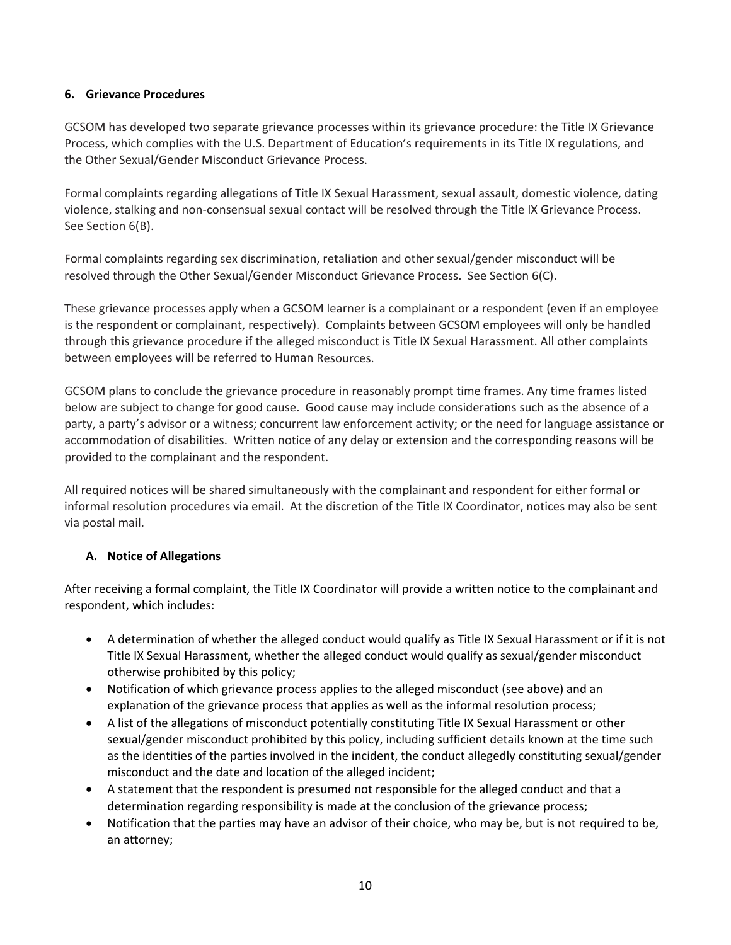## **6. Grievance Procedures**

GCSOM has developed two separate grievance processes within its grievance procedure: the Title IX Grievance Process, which complies with the U.S. Department of Education's requirements in its Title IX regulations, and the Other Sexual/Gender Misconduct Grievance Process.

Formal complaints regarding allegations of Title IX Sexual Harassment, sexual assault, domestic violence, dating violence, stalking and non‐consensual sexual contact will be resolved through the Title IX Grievance Process. See Section 6(B).

Formal complaints regarding sex discrimination, retaliation and other sexual/gender misconduct will be resolved through the Other Sexual/Gender Misconduct Grievance Process. See Section 6(C).

These grievance processes apply when a GCSOM learner is a complainant or a respondent (even if an employee is the respondent or complainant, respectively). Complaints between GCSOM employees will only be handled through this grievance procedure if the alleged misconduct is Title IX Sexual Harassment. All other complaints between employees will be referred to Human Resources.

GCSOM plans to conclude the grievance procedure in reasonably prompt time frames. Any time frames listed below are subject to change for good cause. Good cause may include considerations such as the absence of a party, a party's advisor or a witness; concurrent law enforcement activity; or the need for language assistance or accommodation of disabilities. Written notice of any delay or extension and the corresponding reasons will be provided to the complainant and the respondent.

All required notices will be shared simultaneously with the complainant and respondent for either formal or informal resolution procedures via email. At the discretion of the Title IX Coordinator, notices may also be sent via postal mail.

## **A. Notice of Allegations**

After receiving a formal complaint, the Title IX Coordinator will provide a written notice to the complainant and respondent, which includes:

- A determination of whether the alleged conduct would qualify as Title IX Sexual Harassment or if it is not Title IX Sexual Harassment, whether the alleged conduct would qualify as sexual/gender misconduct otherwise prohibited by this policy;
- Notification of which grievance process applies to the alleged misconduct (see above) and an explanation of the grievance process that applies as well as the informal resolution process;
- A list of the allegations of misconduct potentially constituting Title IX Sexual Harassment or other sexual/gender misconduct prohibited by this policy, including sufficient details known at the time such as the identities of the parties involved in the incident, the conduct allegedly constituting sexual/gender misconduct and the date and location of the alleged incident;
- A statement that the respondent is presumed not responsible for the alleged conduct and that a determination regarding responsibility is made at the conclusion of the grievance process;
- Notification that the parties may have an advisor of their choice, who may be, but is not required to be, an attorney;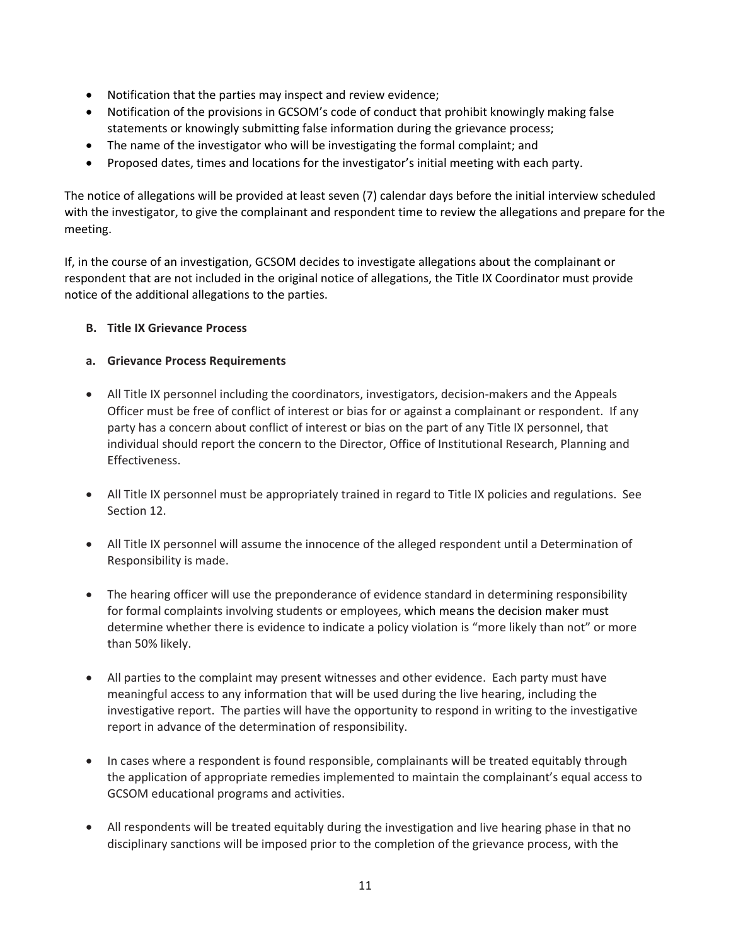- Notification that the parties may inspect and review evidence;
- Notification of the provisions in GCSOM's code of conduct that prohibit knowingly making false statements or knowingly submitting false information during the grievance process;
- The name of the investigator who will be investigating the formal complaint; and
- Proposed dates, times and locations for the investigator's initial meeting with each party.

The notice of allegations will be provided at least seven (7) calendar days before the initial interview scheduled with the investigator, to give the complainant and respondent time to review the allegations and prepare for the meeting.

If, in the course of an investigation, GCSOM decides to investigate allegations about the complainant or respondent that are not included in the original notice of allegations, the Title IX Coordinator must provide notice of the additional allegations to the parties.

## **B. Title IX Grievance Process**

## **a. Grievance Process Requirements**

- All Title IX personnel including the coordinators, investigators, decision-makers and the Appeals Officer must be free of conflict of interest or bias for or against a complainant or respondent. If any party has a concern about conflict of interest or bias on the part of any Title IX personnel, that individual should report the concern to the Director, Office of Institutional Research, Planning and Effectiveness.
- All Title IX personnel must be appropriately trained in regard to Title IX policies and regulations. See Section 12.
- All Title IX personnel will assume the innocence of the alleged respondent until a Determination of Responsibility is made.
- The hearing officer will use the preponderance of evidence standard in determining responsibility for formal complaints involving students or employees, which means the decision maker must determine whether there is evidence to indicate a policy violation is "more likely than not" or more than 50% likely.
- All parties to the complaint may present witnesses and other evidence. Each party must have meaningful access to any information that will be used during the live hearing, including the investigative report. The parties will have the opportunity to respond in writing to the investigative report in advance of the determination of responsibility.
- In cases where a respondent is found responsible, complainants will be treated equitably through the application of appropriate remedies implemented to maintain the complainant's equal access to GCSOM educational programs and activities.
- All respondents will be treated equitably during the investigation and live hearing phase in that no disciplinary sanctions will be imposed prior to the completion of the grievance process, with the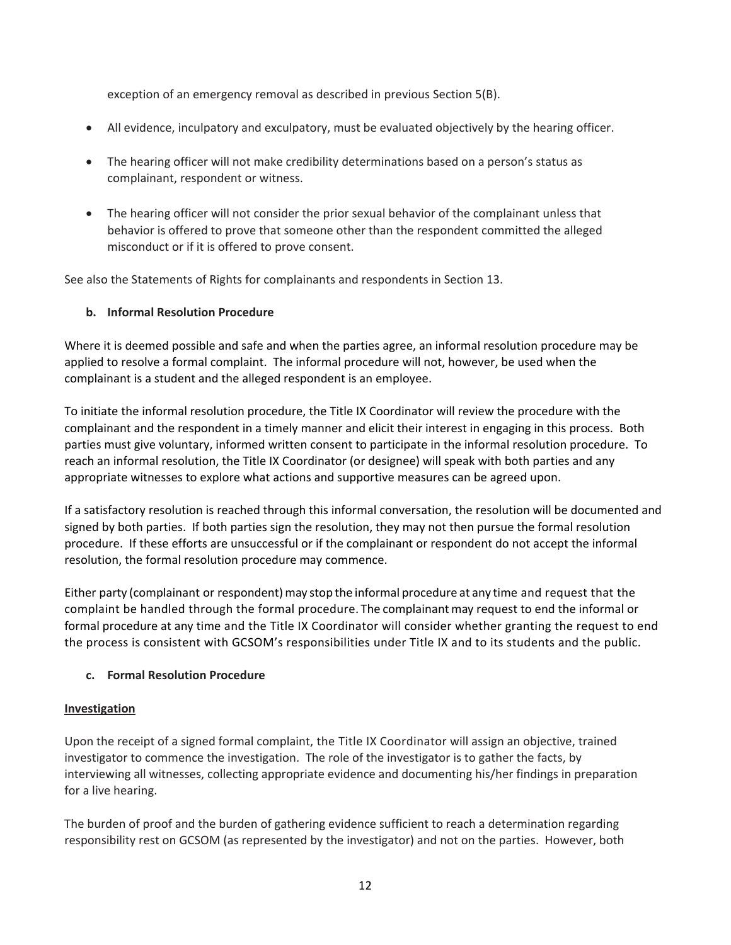exception of an emergency removal as described in previous Section 5(B).

- All evidence, inculpatory and exculpatory, must be evaluated objectively by the hearing officer.
- The hearing officer will not make credibility determinations based on a person's status as complainant, respondent or witness.
- The hearing officer will not consider the prior sexual behavior of the complainant unless that behavior is offered to prove that someone other than the respondent committed the alleged misconduct or if it is offered to prove consent.

See also the Statements of Rights for complainants and respondents in Section 13.

## **b. Informal Resolution Procedure**

Where it is deemed possible and safe and when the parties agree, an informal resolution procedure may be applied to resolve a formal complaint. The informal procedure will not, however, be used when the complainant is a student and the alleged respondent is an employee.

To initiate the informal resolution procedure, the Title IX Coordinator will review the procedure with the complainant and the respondent in a timely manner and elicit their interest in engaging in this process. Both parties must give voluntary, informed written consent to participate in the informal resolution procedure. To reach an informal resolution, the Title IX Coordinator (or designee) will speak with both parties and any appropriate witnesses to explore what actions and supportive measures can be agreed upon.

If a satisfactory resolution is reached through this informal conversation, the resolution will be documented and signed by both parties. If both parties sign the resolution, they may not then pursue the formal resolution procedure. If these efforts are unsuccessful or if the complainant or respondent do not accept the informal resolution, the formal resolution procedure may commence.

Either party (complainant or respondent) may stop the informal procedure at any time and request that the complaint be handled through the formal procedure. The complainantmay request to end the informal or formal procedure at any time and the Title IX Coordinator will consider whether granting the request to end the process is consistent with GCSOM's responsibilities under Title IX and to its students and the public.

## **c. Formal Resolution Procedure**

### **Investigation**

Upon the receipt of a signed formal complaint, the Title IX Coordinator will assign an objective, trained investigator to commence the investigation. The role of the investigator is to gather the facts, by interviewing all witnesses, collecting appropriate evidence and documenting his/her findings in preparation for a live hearing.

The burden of proof and the burden of gathering evidence sufficient to reach a determination regarding responsibility rest on GCSOM (as represented by the investigator) and not on the parties. However, both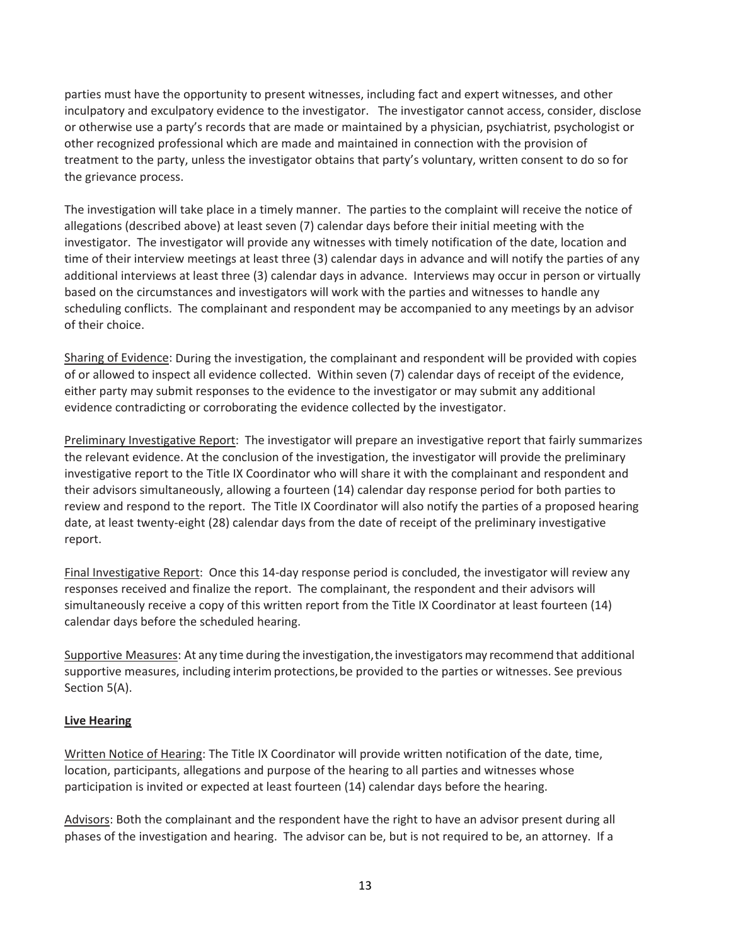parties must have the opportunity to present witnesses, including fact and expert witnesses, and other inculpatory and exculpatory evidence to the investigator. The investigator cannot access, consider, disclose or otherwise use a party's records that are made or maintained by a physician, psychiatrist, psychologist or other recognized professional which are made and maintained in connection with the provision of treatment to the party, unless the investigator obtains that party's voluntary, written consent to do so for the grievance process.

The investigation will take place in a timely manner. The parties to the complaint will receive the notice of allegations (described above) at least seven (7) calendar days before their initial meeting with the investigator. The investigator will provide any witnesses with timely notification of the date, location and time of their interview meetings at least three (3) calendar days in advance and will notify the parties of any additional interviews at least three (3) calendar days in advance. Interviews may occur in person or virtually based on the circumstances and investigators will work with the parties and witnesses to handle any scheduling conflicts. The complainant and respondent may be accompanied to any meetings by an advisor of their choice.

Sharing of Evidence: During the investigation, the complainant and respondent will be provided with copies of or allowed to inspect all evidence collected. Within seven (7) calendar days of receipt of the evidence, either party may submit responses to the evidence to the investigator or may submit any additional evidence contradicting or corroborating the evidence collected by the investigator.

Preliminary Investigative Report: The investigator will prepare an investigative report that fairly summarizes the relevant evidence. At the conclusion of the investigation, the investigator will provide the preliminary investigative report to the Title IX Coordinator who will share it with the complainant and respondent and their advisors simultaneously, allowing a fourteen (14) calendar day response period for both parties to review and respond to the report. The Title IX Coordinator will also notify the parties of a proposed hearing date, at least twenty‐eight (28) calendar days from the date of receipt of the preliminary investigative report.

Final Investigative Report: Once this 14‐day response period is concluded, the investigator will review any responses received and finalize the report. The complainant, the respondent and their advisors will simultaneously receive a copy of this written report from the Title IX Coordinator at least fourteen (14) calendar days before the scheduled hearing.

Supportive Measures: At any time during the investigation,the investigators may recommend that additional supportive measures, including interim protections, be provided to the parties or witnesses. See previous Section 5(A).

## **Live Hearing**

Written Notice of Hearing: The Title IX Coordinator will provide written notification of the date, time, location, participants, allegations and purpose of the hearing to all parties and witnesses whose participation is invited or expected at least fourteen (14) calendar days before the hearing.

Advisors: Both the complainant and the respondent have the right to have an advisor present during all phases of the investigation and hearing. The advisor can be, but is not required to be, an attorney. If a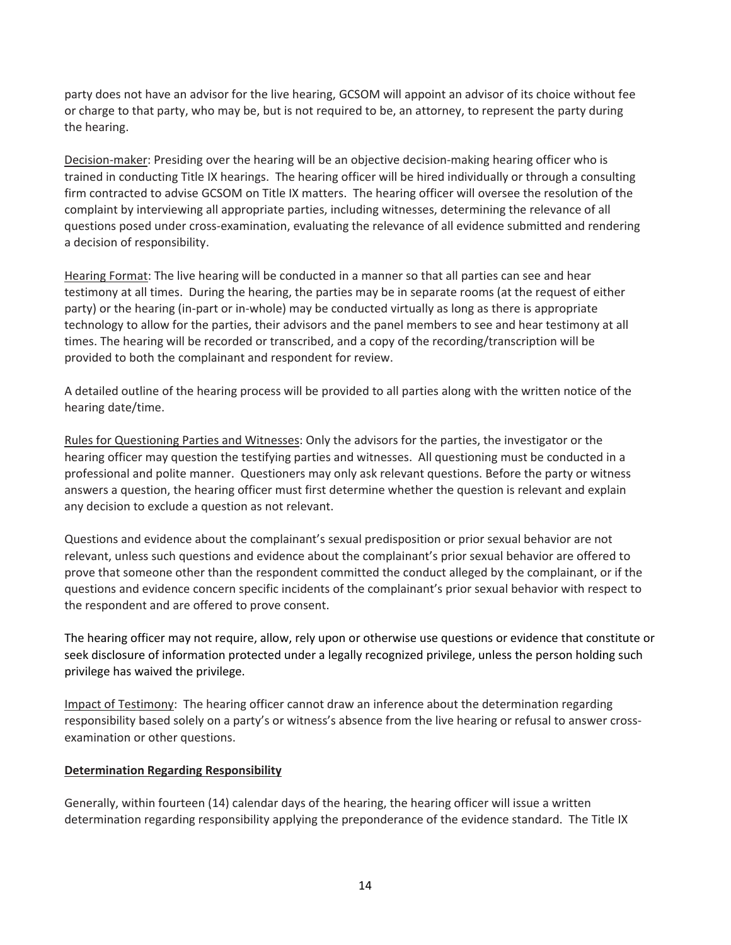party does not have an advisor for the live hearing, GCSOM will appoint an advisor of its choice without fee or charge to that party, who may be, but is not required to be, an attorney, to represent the party during the hearing.

Decision-maker: Presiding over the hearing will be an objective decision-making hearing officer who is trained in conducting Title IX hearings. The hearing officer will be hired individually or through a consulting firm contracted to advise GCSOM on Title IX matters. The hearing officer will oversee the resolution of the complaint by interviewing all appropriate parties, including witnesses, determining the relevance of all questions posed under cross‐examination, evaluating the relevance of all evidence submitted and rendering a decision of responsibility.

Hearing Format: The live hearing will be conducted in a manner so that all parties can see and hear testimony at all times. During the hearing, the parties may be in separate rooms (at the request of either party) or the hearing (in‐part or in‐whole) may be conducted virtually as long as there is appropriate technology to allow for the parties, their advisors and the panel members to see and hear testimony at all times. The hearing will be recorded or transcribed, and a copy of the recording/transcription will be provided to both the complainant and respondent for review.

A detailed outline of the hearing process will be provided to all parties along with the written notice of the hearing date/time.

Rules for Questioning Parties and Witnesses: Only the advisors for the parties, the investigator or the hearing officer may question the testifying parties and witnesses. All questioning must be conducted in a professional and polite manner. Questioners may only ask relevant questions. Before the party or witness answers a question, the hearing officer must first determine whether the question is relevant and explain any decision to exclude a question as not relevant.

Questions and evidence about the complainant's sexual predisposition or prior sexual behavior are not relevant, unless such questions and evidence about the complainant's prior sexual behavior are offered to prove that someone other than the respondent committed the conduct alleged by the complainant, or if the questions and evidence concern specific incidents of the complainant's prior sexual behavior with respect to the respondent and are offered to prove consent.

The hearing officer may not require, allow, rely upon or otherwise use questions or evidence that constitute or seek disclosure of information protected under a legally recognized privilege, unless the person holding such privilege has waived the privilege.

Impact of Testimony: The hearing officer cannot draw an inference about the determination regarding responsibility based solely on a party's or witness's absence from the live hearing or refusal to answer cross‐ examination or other questions.

## **Determination Regarding Responsibility**

Generally, within fourteen (14) calendar days of the hearing, the hearing officer will issue a written determination regarding responsibility applying the preponderance of the evidence standard. The Title IX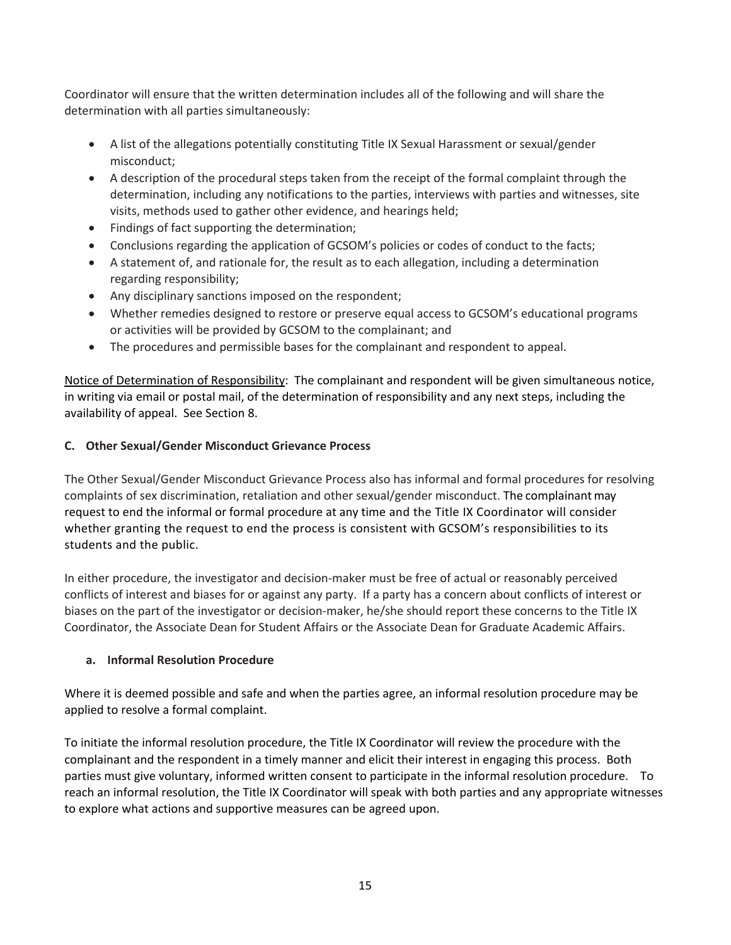Coordinator will ensure that the written determination includes all of the following and will share the determination with all parties simultaneously:

- A list of the allegations potentially constituting Title IX Sexual Harassment or sexual/gender misconduct;
- A description of the procedural steps taken from the receipt of the formal complaint through the determination, including any notifications to the parties, interviews with parties and witnesses, site visits, methods used to gather other evidence, and hearings held;
- Findings of fact supporting the determination;
- Conclusions regarding the application of GCSOM's policies or codes of conduct to the facts;
- A statement of, and rationale for, the result as to each allegation, including a determination regarding responsibility;
- Any disciplinary sanctions imposed on the respondent;
- Whether remedies designed to restore or preserve equal access to GCSOM's educational programs or activities will be provided by GCSOM to the complainant; and
- The procedures and permissible bases for the complainant and respondent to appeal.

Notice of Determination of Responsibility: The complainant and respondent will be given simultaneous notice, in writing via email or postal mail, of the determination of responsibility and any next steps, including the availability of appeal. See Section 8.

## **C. Other Sexual/Gender Misconduct Grievance Process**

The Other Sexual/Gender Misconduct Grievance Process also has informal and formal procedures for resolving complaints of sex discrimination, retaliation and other sexual/gender misconduct. The complainant may request to end the informal or formal procedure at any time and the Title IX Coordinator will consider whether granting the request to end the process is consistent with GCSOM's responsibilities to its students and the public.

In either procedure, the investigator and decision‐maker must be free of actual or reasonably perceived conflicts of interest and biases for or against any party. If a party has a concern about conflicts of interest or biases on the part of the investigator or decision-maker, he/she should report these concerns to the Title IX Coordinator, the Associate Dean for Student Affairs or the Associate Dean for Graduate Academic Affairs.

### **a. Informal Resolution Procedure**

Where it is deemed possible and safe and when the parties agree, an informal resolution procedure may be applied to resolve a formal complaint.

To initiate the informal resolution procedure, the Title IX Coordinator will review the procedure with the complainant and the respondent in a timely manner and elicit their interest in engaging this process. Both parties must give voluntary, informed written consent to participate in the informal resolution procedure. To reach an informal resolution, the Title IX Coordinator will speak with both parties and any appropriate witnesses to explore what actions and supportive measures can be agreed upon.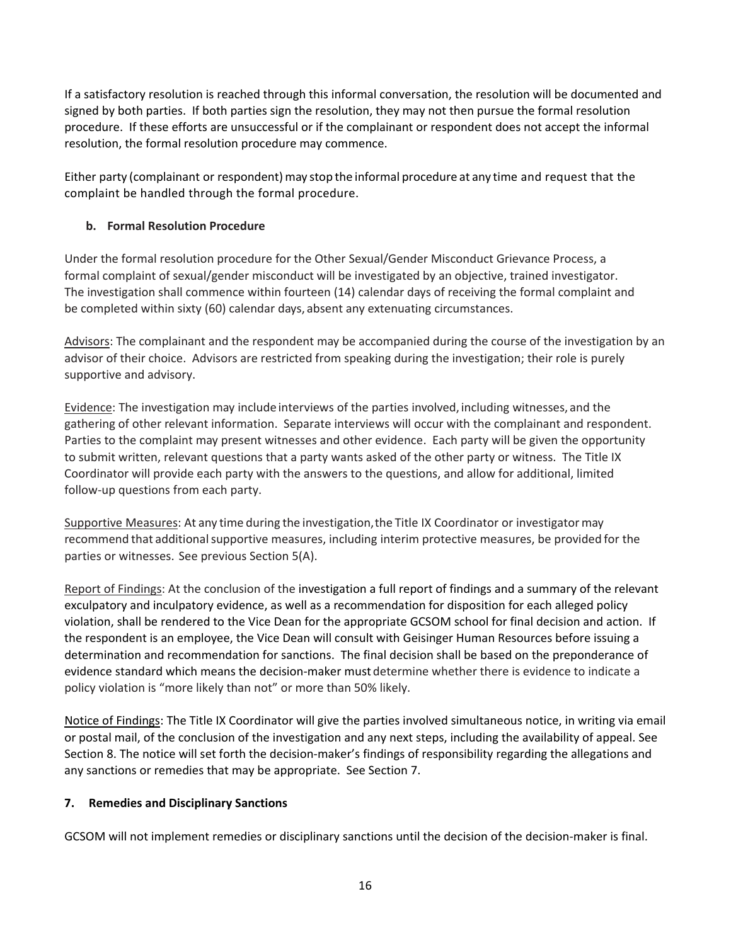If a satisfactory resolution is reached through this informal conversation, the resolution will be documented and signed by both parties. If both parties sign the resolution, they may not then pursue the formal resolution procedure. If these efforts are unsuccessful or if the complainant or respondent does not accept the informal resolution, the formal resolution procedure may commence.

Either party (complainant or respondent) may stop the informal procedure at any time and request that the complaint be handled through the formal procedure.

## **b. Formal Resolution Procedure**

Under the formal resolution procedure for the Other Sexual/Gender Misconduct Grievance Process, a formal complaint of sexual/gender misconduct will be investigated by an objective, trained investigator. The investigation shall commence within fourteen (14) calendar days of receiving the formal complaint and be completed within sixty (60) calendar days, absent any extenuating circumstances.

Advisors: The complainant and the respondent may be accompanied during the course of the investigation by an advisor of their choice. Advisors are restricted from speaking during the investigation; their role is purely supportive and advisory.

Evidence: The investigation may include interviews of the parties involved, including witnesses, and the gathering of other relevant information. Separate interviews will occur with the complainant and respondent. Parties to the complaint may present witnesses and other evidence. Each party will be given the opportunity to submit written, relevant questions that a party wants asked of the other party or witness. The Title IX Coordinator will provide each party with the answers to the questions, and allow for additional, limited follow‐up questions from each party.

Supportive Measures: At any time during the investigation, the Title IX Coordinator or investigator may recommend that additional supportive measures, including interim protective measures, be provided for the parties or witnesses. See previous Section 5(A).

Report of Findings: At the conclusion of the investigation a full report of findings and a summary of the relevant exculpatory and inculpatory evidence, as well as a recommendation for disposition for each alleged policy violation, shall be rendered to the Vice Dean for the appropriate GCSOM school for final decision and action. If the respondent is an employee, the Vice Dean will consult with Geisinger Human Resources before issuing a determination and recommendation for sanctions. The final decision shall be based on the preponderance of evidence standard which means the decision‐maker must determine whether there is evidence to indicate a policy violation is "more likely than not" or more than 50% likely.

Notice of Findings: The Title IX Coordinator will give the parties involved simultaneous notice, in writing via email or postal mail, of the conclusion of the investigation and any next steps, including the availability of appeal. See Section 8. The notice will set forth the decision-maker's findings of responsibility regarding the allegations and any sanctions or remedies that may be appropriate. See Section 7.

## **7. Remedies and Disciplinary Sanctions**

GCSOM will not implement remedies or disciplinary sanctions until the decision of the decision‐maker is final.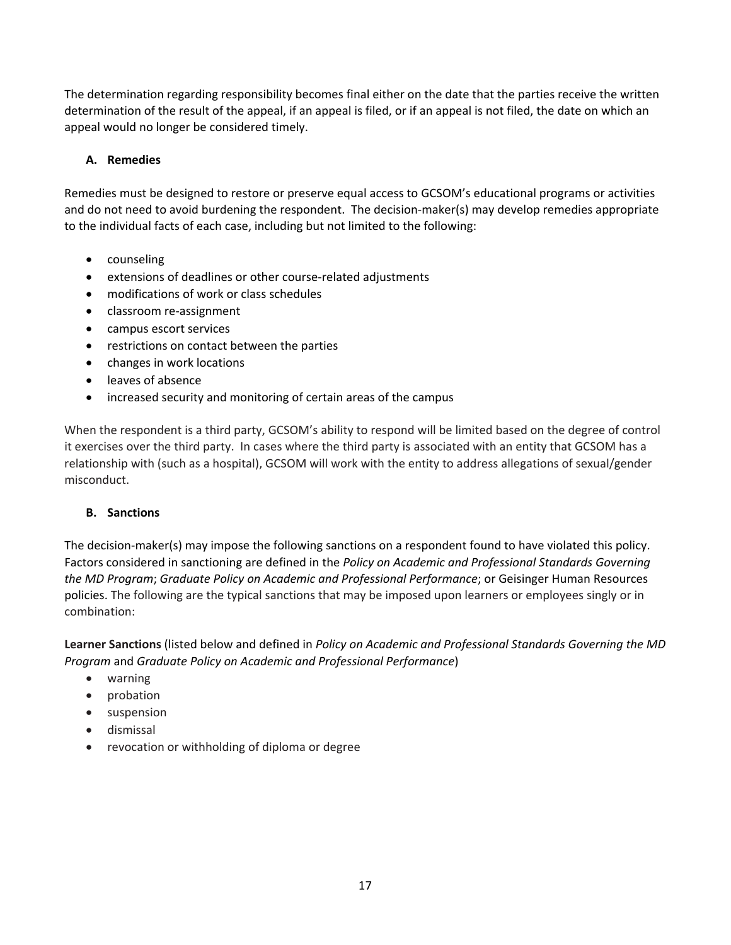The determination regarding responsibility becomes final either on the date that the parties receive the written determination of the result of the appeal, if an appeal is filed, or if an appeal is not filed, the date on which an appeal would no longer be considered timely.

## **A. Remedies**

Remedies must be designed to restore or preserve equal access to GCSOM's educational programs or activities and do not need to avoid burdening the respondent. The decision-maker(s) may develop remedies appropriate to the individual facts of each case, including but not limited to the following:

- counseling
- extensions of deadlines or other course‐related adjustments
- modifications of work or class schedules
- classroom re-assignment
- campus escort services
- restrictions on contact between the parties
- changes in work locations
- leaves of absence
- increased security and monitoring of certain areas of the campus

When the respondent is a third party, GCSOM's ability to respond will be limited based on the degree of control it exercises over the third party. In cases where the third party is associated with an entity that GCSOM has a relationship with (such as a hospital), GCSOM will work with the entity to address allegations of sexual/gender misconduct.

## **B. Sanctions**

The decision-maker(s) may impose the following sanctions on a respondent found to have violated this policy. Factors considered in sanctioning are defined in the *Policy on Academic and Professional Standards Governing the MD Program*; *Graduate Policy on Academic and Professional Performance*; or Geisinger Human Resources policies. The following are the typical sanctions that may be imposed upon learners or employees singly or in combination:

**Learner Sanctions** (listed below and defined in *Policy on Academic and Professional Standards Governing the MD Program* and *Graduate Policy on Academic and Professional Performance*)

- warning
- probation
- suspension
- dismissal
- revocation or withholding of diploma or degree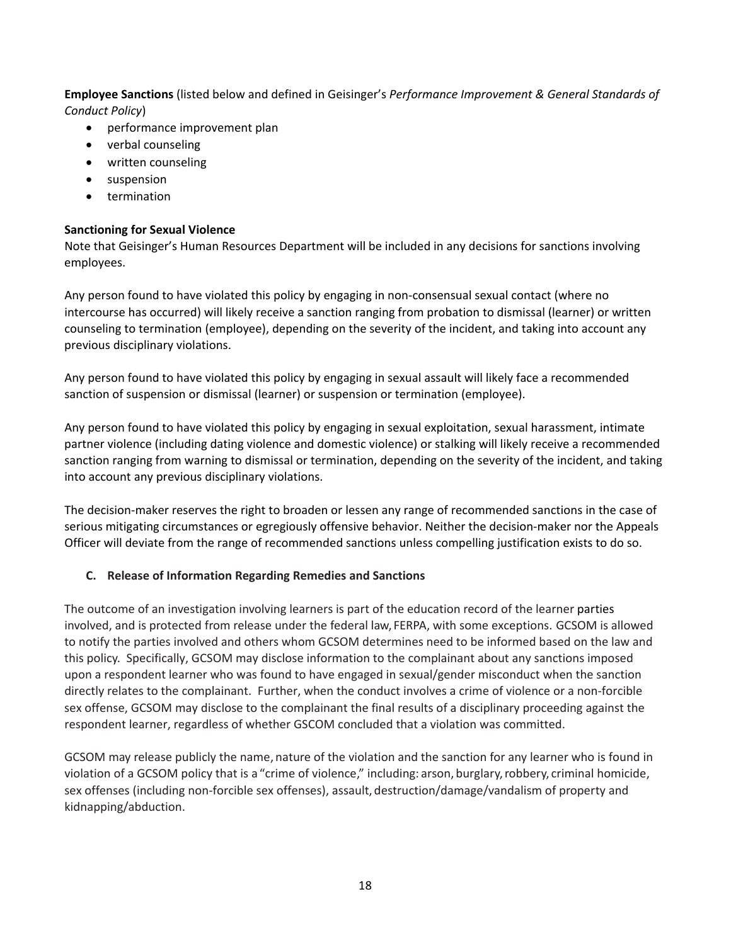**Employee Sanctions** (listed below and defined in Geisinger's *Performance Improvement & General Standards of Conduct Policy*)

- performance improvement plan
- verbal counseling
- written counseling
- suspension
- **•** termination

### **Sanctioning for Sexual Violence**

Note that Geisinger's Human Resources Department will be included in any decisions for sanctions involving employees.

Any person found to have violated this policy by engaging in non‐consensual sexual contact (where no intercourse has occurred) will likely receive a sanction ranging from probation to dismissal (learner) or written counseling to termination (employee), depending on the severity of the incident, and taking into account any previous disciplinary violations.

Any person found to have violated this policy by engaging in sexual assault will likely face a recommended sanction of suspension or dismissal (learner) or suspension or termination (employee).

Any person found to have violated this policy by engaging in sexual exploitation, sexual harassment, intimate partner violence (including dating violence and domestic violence) or stalking will likely receive a recommended sanction ranging from warning to dismissal or termination, depending on the severity of the incident, and taking into account any previous disciplinary violations.

The decision‐maker reserves the right to broaden or lessen any range of recommended sanctions in the case of serious mitigating circumstances or egregiously offensive behavior. Neither the decision-maker nor the Appeals Officer will deviate from the range of recommended sanctions unless compelling justification exists to do so.

### **C. Release of Information Regarding Remedies and Sanctions**

The outcome of an investigation involving learners is part of the education record of the learner parties involved, and is protected from release under the federal law, FERPA, with some exceptions. GCSOM is allowed to notify the parties involved and others whom GCSOM determines need to be informed based on the law and this policy. Specifically, GCSOM may disclose information to the complainant about any sanctions imposed upon a respondent learner who was found to have engaged in sexual/gender misconduct when the sanction directly relates to the complainant. Further, when the conduct involves a crime of violence or a non‐forcible sex offense, GCSOM may disclose to the complainant the final results of a disciplinary proceeding against the respondent learner, regardless of whether GSCOM concluded that a violation was committed.

GCSOM may release publicly the name, nature of the violation and the sanction for any learner who is found in violation of a GCSOM policy that is a "crime of violence," including: arson, burglary,robbery, criminal homicide, sex offenses (including non‐forcible sex offenses), assault, destruction/damage/vandalism of property and kidnapping/abduction.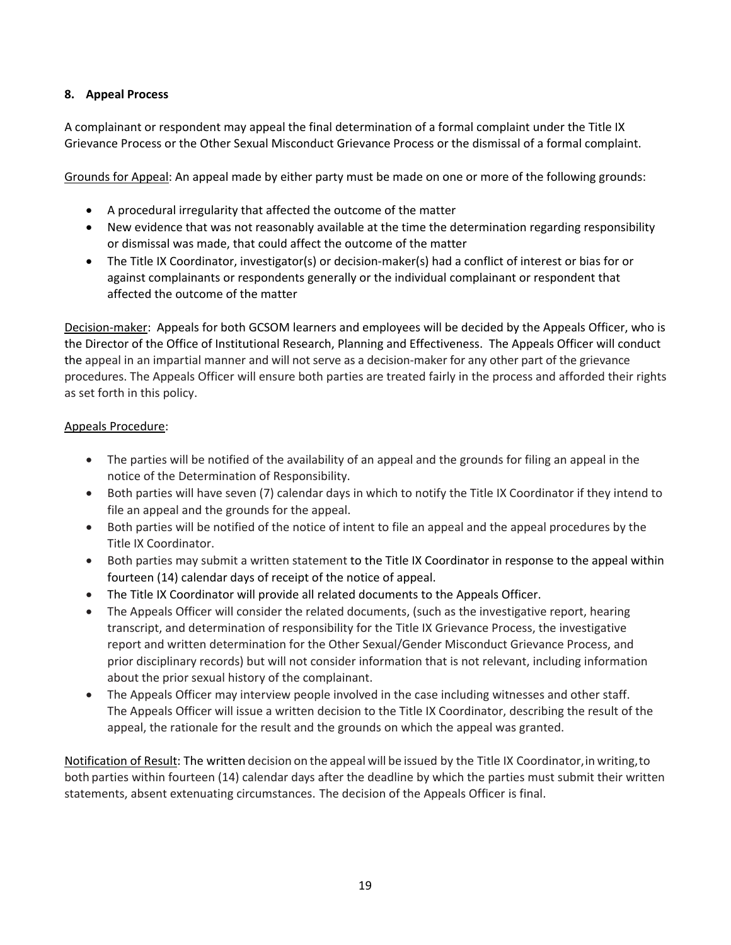## **8. Appeal Process**

A complainant or respondent may appeal the final determination of a formal complaint under the Title IX Grievance Process or the Other Sexual Misconduct Grievance Process or the dismissal of a formal complaint.

Grounds for Appeal: An appeal made by either party must be made on one or more of the following grounds:

- A procedural irregularity that affected the outcome of the matter
- New evidence that was not reasonably available at the time the determination regarding responsibility or dismissal was made, that could affect the outcome of the matter
- The Title IX Coordinator, investigator(s) or decision-maker(s) had a conflict of interest or bias for or against complainants or respondents generally or the individual complainant or respondent that affected the outcome of the matter

Decision‐maker: Appeals for both GCSOM learners and employees will be decided by the Appeals Officer, who is the Director of the Office of Institutional Research, Planning and Effectiveness. The Appeals Officer will conduct the appeal in an impartial manner and will not serve as a decision-maker for any other part of the grievance procedures. The Appeals Officer will ensure both parties are treated fairly in the process and afforded their rights as set forth in this policy.

## Appeals Procedure:

- The parties will be notified of the availability of an appeal and the grounds for filing an appeal in the notice of the Determination of Responsibility.
- Both parties will have seven (7) calendar days in which to notify the Title IX Coordinator if they intend to file an appeal and the grounds for the appeal.
- Both parties will be notified of the notice of intent to file an appeal and the appeal procedures by the Title IX Coordinator.
- Both parties may submit a written statement to the Title IX Coordinator in response to the appeal within fourteen (14) calendar days of receipt of the notice of appeal.
- The Title IX Coordinator will provide all related documents to the Appeals Officer.
- The Appeals Officer will consider the related documents, (such as the investigative report, hearing transcript, and determination of responsibility for the Title IX Grievance Process, the investigative report and written determination for the Other Sexual/Gender Misconduct Grievance Process, and prior disciplinary records) but will not consider information that is not relevant, including information about the prior sexual history of the complainant.
- The Appeals Officer may interview people involved in the case including witnesses and other staff. The Appeals Officer will issue a written decision to the Title IX Coordinator, describing the result of the appeal, the rationale for the result and the grounds on which the appeal was granted.

Notification of Result: The written decision on the appeal will be issued by the Title IX Coordinator,in writing,to both parties within fourteen (14) calendar days after the deadline by which the parties must submit their written statements, absent extenuating circumstances. The decision of the Appeals Officer is final.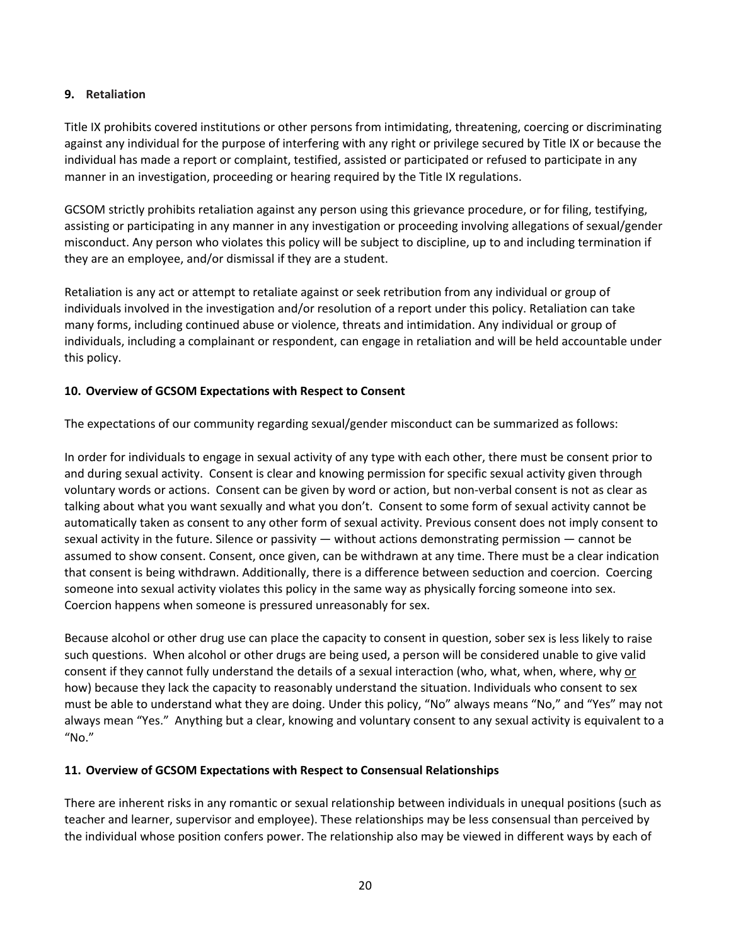### **9. Retaliation**

Title IX prohibits covered institutions or other persons from intimidating, threatening, coercing or discriminating against any individual for the purpose of interfering with any right or privilege secured by Title IX or because the individual has made a report or complaint, testified, assisted or participated or refused to participate in any manner in an investigation, proceeding or hearing required by the Title IX regulations.

GCSOM strictly prohibits retaliation against any person using this grievance procedure, or for filing, testifying, assisting or participating in any manner in any investigation or proceeding involving allegations of sexual/gender misconduct. Any person who violates this policy will be subject to discipline, up to and including termination if they are an employee, and/or dismissal if they are a student.

Retaliation is any act or attempt to retaliate against or seek retribution from any individual or group of individuals involved in the investigation and/or resolution of a report under this policy. Retaliation can take many forms, including continued abuse or violence, threats and intimidation. Any individual or group of individuals, including a complainant or respondent, can engage in retaliation and will be held accountable under this policy.

### **10. Overview of GCSOM Expectations with Respect to Consent**

The expectations of our community regarding sexual/gender misconduct can be summarized as follows:

In order for individuals to engage in sexual activity of any type with each other, there must be consent prior to and during sexual activity. Consent is clear and knowing permission for specific sexual activity given through voluntary words or actions. Consent can be given by word or action, but non‐verbal consent is not as clear as talking about what you want sexually and what you don't. Consent to some form of sexual activity cannot be automatically taken as consent to any other form of sexual activity. Previous consent does not imply consent to sexual activity in the future. Silence or passivity — without actions demonstrating permission — cannot be assumed to show consent. Consent, once given, can be withdrawn at any time. There must be a clear indication that consent is being withdrawn. Additionally, there is a difference between seduction and coercion. Coercing someone into sexual activity violates this policy in the same way as physically forcing someone into sex. Coercion happens when someone is pressured unreasonably for sex.

Because alcohol or other drug use can place the capacity to consent in question, sober sex is less likely to raise such questions. When alcohol or other drugs are being used, a person will be considered unable to give valid consent if they cannot fully understand the details of a sexual interaction (who, what, when, where, why or how) because they lack the capacity to reasonably understand the situation. Individuals who consent to sex must be able to understand what they are doing. Under this policy, "No" always means "No," and "Yes" may not always mean "Yes." Anything but a clear, knowing and voluntary consent to any sexual activity is equivalent to a "No."

### **11. Overview of GCSOM Expectations with Respect to Consensual Relationships**

There are inherent risks in any romantic or sexual relationship between individuals in unequal positions (such as teacher and learner, supervisor and employee). These relationships may be less consensual than perceived by the individual whose position confers power. The relationship also may be viewed in different ways by each of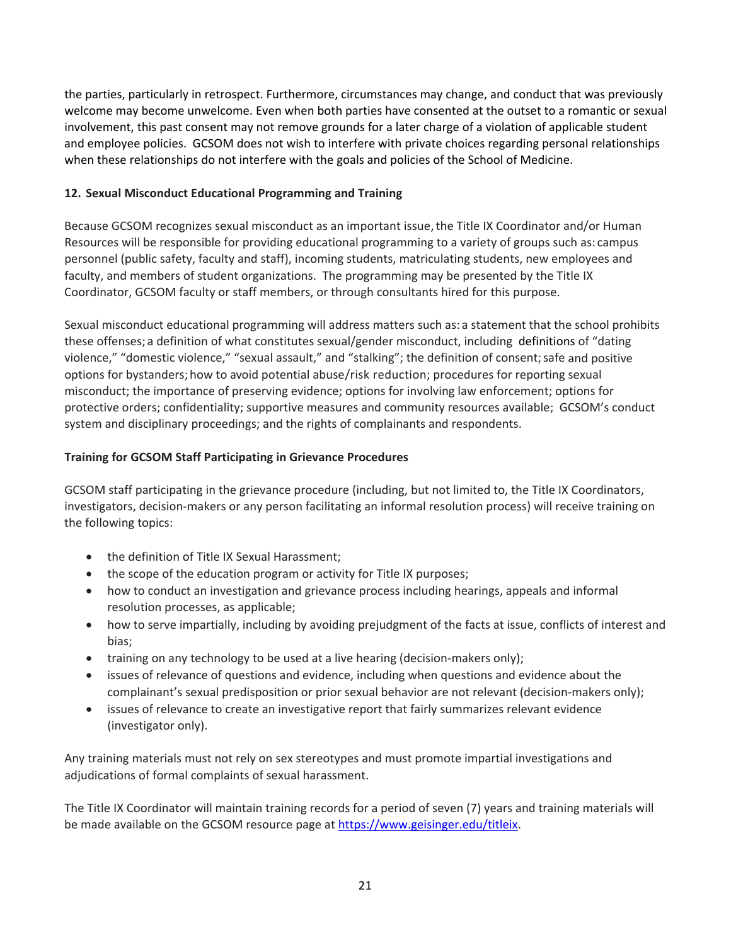the parties, particularly in retrospect. Furthermore, circumstances may change, and conduct that was previously welcome may become unwelcome. Even when both parties have consented at the outset to a romantic or sexual involvement, this past consent may not remove grounds for a later charge of a violation of applicable student and employee policies. GCSOM does not wish to interfere with private choices regarding personal relationships when these relationships do not interfere with the goals and policies of the School of Medicine.

## **12. Sexual Misconduct Educational Programming and Training**

Because GCSOM recognizes sexual misconduct as an important issue, the Title IX Coordinator and/or Human Resources will be responsible for providing educational programming to a variety of groups such as: campus personnel (public safety, faculty and staff), incoming students, matriculating students, new employees and faculty, and members of student organizations. The programming may be presented by the Title IX Coordinator, GCSOM faculty or staff members, or through consultants hired for this purpose.

Sexual misconduct educational programming will address matters such as: a statement that the school prohibits these offenses; a definition of what constitutes sexual/gender misconduct, including definitions of "dating violence," "domestic violence," "sexual assault," and "stalking"; the definition of consent;safe and positive options for bystanders; how to avoid potential abuse/risk reduction; procedures for reporting sexual misconduct; the importance of preserving evidence; options for involving law enforcement; options for protective orders; confidentiality; supportive measures and community resources available; GCSOM's conduct system and disciplinary proceedings; and the rights of complainants and respondents.

## **Training for GCSOM Staff Participating in Grievance Procedures**

GCSOM staff participating in the grievance procedure (including, but not limited to, the Title IX Coordinators, investigators, decision‐makers or any person facilitating an informal resolution process) will receive training on the following topics:

- the definition of Title IX Sexual Harassment;
- the scope of the education program or activity for Title IX purposes;
- how to conduct an investigation and grievance process including hearings, appeals and informal resolution processes, as applicable;
- how to serve impartially, including by avoiding prejudgment of the facts at issue, conflicts of interest and bias;
- training on any technology to be used at a live hearing (decision-makers only);
- issues of relevance of questions and evidence, including when questions and evidence about the complainant's sexual predisposition or prior sexual behavior are not relevant (decision-makers only);
- issues of relevance to create an investigative report that fairly summarizes relevant evidence (investigator only).

Any training materials must not rely on sex stereotypes and must promote impartial investigations and adjudications of formal complaints of sexual harassment.

The Title IX Coordinator will maintain training records for a period of seven (7) years and training materials will be made available on the GCSOM resource page at https://www.geisinger.edu/titleix.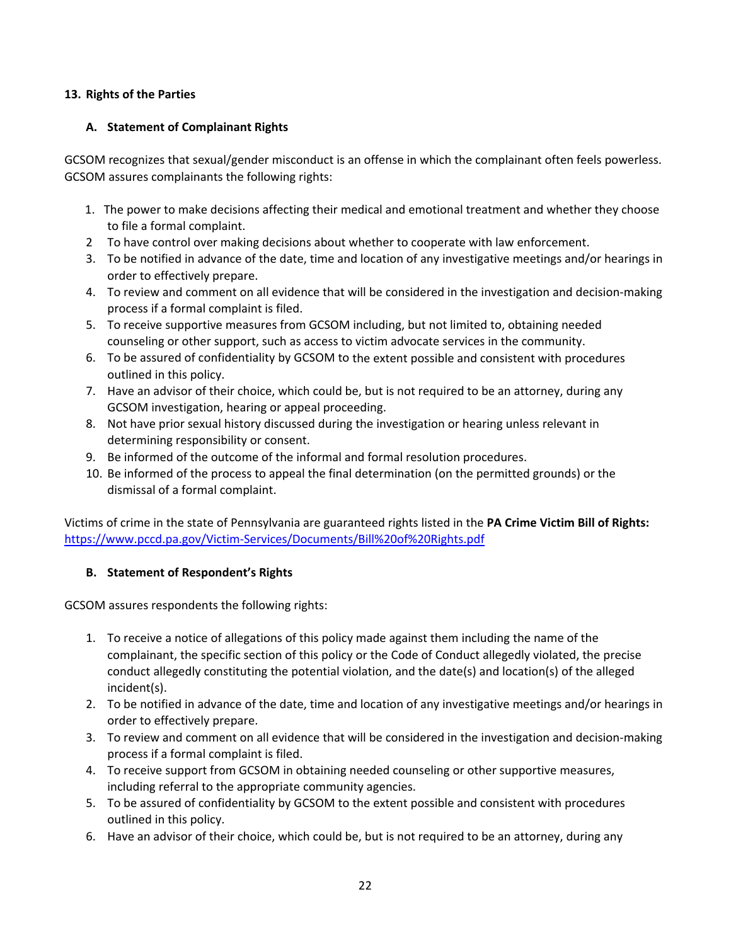## **13. Rights of the Parties**

## **A. Statement of Complainant Rights**

GCSOM recognizes that sexual/gender misconduct is an offense in which the complainant often feels powerless. GCSOM assures complainants the following rights:

- 1. The power to make decisions affecting their medical and emotional treatment and whether they choose to file a formal complaint.
- 2 To have control over making decisions about whether to cooperate with law enforcement.
- 3. To be notified in advance of the date, time and location of any investigative meetings and/or hearings in order to effectively prepare.
- 4. To review and comment on all evidence that will be considered in the investigation and decision‐making process if a formal complaint is filed.
- 5. To receive supportive measures from GCSOM including, but not limited to, obtaining needed counseling or other support, such as access to victim advocate services in the community.
- 6. To be assured of confidentiality by GCSOM to the extent possible and consistent with procedures outlined in this policy.
- 7. Have an advisor of their choice, which could be, but is not required to be an attorney, during any GCSOM investigation, hearing or appeal proceeding.
- 8. Not have prior sexual history discussed during the investigation or hearing unless relevant in determining responsibility or consent.
- 9. Be informed of the outcome of the informal and formal resolution procedures.
- 10. Be informed of the process to appeal the final determination (on the permitted grounds) or the dismissal of a formal complaint.

Victims of crime in the state of Pennsylvania are guaranteed rights listed in the **PA Crime Victim Bill of Rights:** https://www.pccd.pa.gov/Victim‐Services/Documents/Bill%20of%20Rights.pdf

## **B. Statement of Respondent's Rights**

GCSOM assures respondents the following rights:

- 1. To receive a notice of allegations of this policy made against them including the name of the complainant, the specific section of this policy or the Code of Conduct allegedly violated, the precise conduct allegedly constituting the potential violation, and the date(s) and location(s) of the alleged incident(s).
- 2. To be notified in advance of the date, time and location of any investigative meetings and/or hearings in order to effectively prepare.
- 3. To review and comment on all evidence that will be considered in the investigation and decision‐making process if a formal complaint is filed.
- 4. To receive support from GCSOM in obtaining needed counseling or other supportive measures, including referral to the appropriate community agencies.
- 5. To be assured of confidentiality by GCSOM to the extent possible and consistent with procedures outlined in this policy.
- 6. Have an advisor of their choice, which could be, but is not required to be an attorney, during any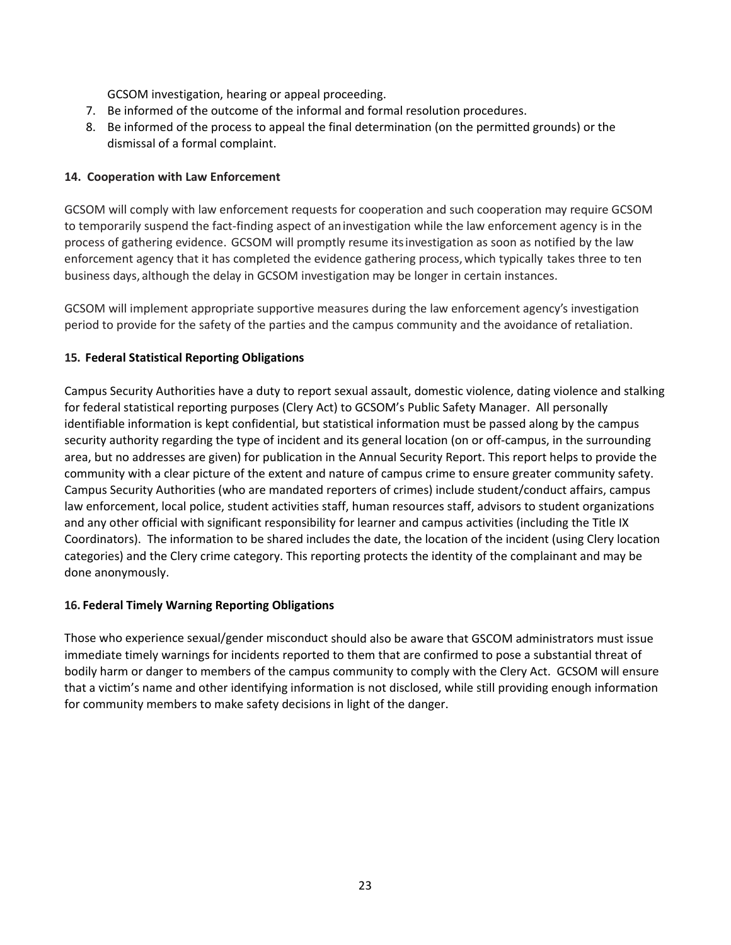GCSOM investigation, hearing or appeal proceeding.

- 7. Be informed of the outcome of the informal and formal resolution procedures.
- 8. Be informed of the process to appeal the final determination (on the permitted grounds) or the dismissal of a formal complaint.

## **14. Cooperation with Law Enforcement**

GCSOM will comply with law enforcement requests for cooperation and such cooperation may require GCSOM to temporarily suspend the fact‐finding aspect of aninvestigation while the law enforcement agency is in the process of gathering evidence. GCSOM will promptly resume itsinvestigation as soon as notified by the law enforcement agency that it has completed the evidence gathering process,which typically takes three to ten business days, although the delay in GCSOM investigation may be longer in certain instances.

GCSOM will implement appropriate supportive measures during the law enforcement agency's investigation period to provide for the safety of the parties and the campus community and the avoidance of retaliation.

## **15. Federal Statistical Reporting Obligations**

Campus Security Authorities have a duty to report sexual assault, domestic violence, dating violence and stalking for federal statistical reporting purposes (Clery Act) to GCSOM's Public Safety Manager. All personally identifiable information is kept confidential, but statistical information must be passed along by the campus security authority regarding the type of incident and its general location (on or off‐campus, in the surrounding area, but no addresses are given) for publication in the Annual Security Report. This report helps to provide the community with a clear picture of the extent and nature of campus crime to ensure greater community safety. Campus Security Authorities (who are mandated reporters of crimes) include student/conduct affairs, campus law enforcement, local police, student activities staff, human resources staff, advisors to student organizations and any other official with significant responsibility for learner and campus activities (including the Title IX Coordinators). The information to be shared includes the date, the location of the incident (using Clery location categories) and the Clery crime category. This reporting protects the identity of the complainant and may be done anonymously.

### **16. Federal Timely Warning Reporting Obligations**

Those who experience sexual/gender misconduct should also be aware that GSCOM administrators must issue immediate timely warnings for incidents reported to them that are confirmed to pose a substantial threat of bodily harm or danger to members of the campus community to comply with the Clery Act. GCSOM will ensure that a victim's name and other identifying information is not disclosed, while still providing enough information for community members to make safety decisions in light of the danger.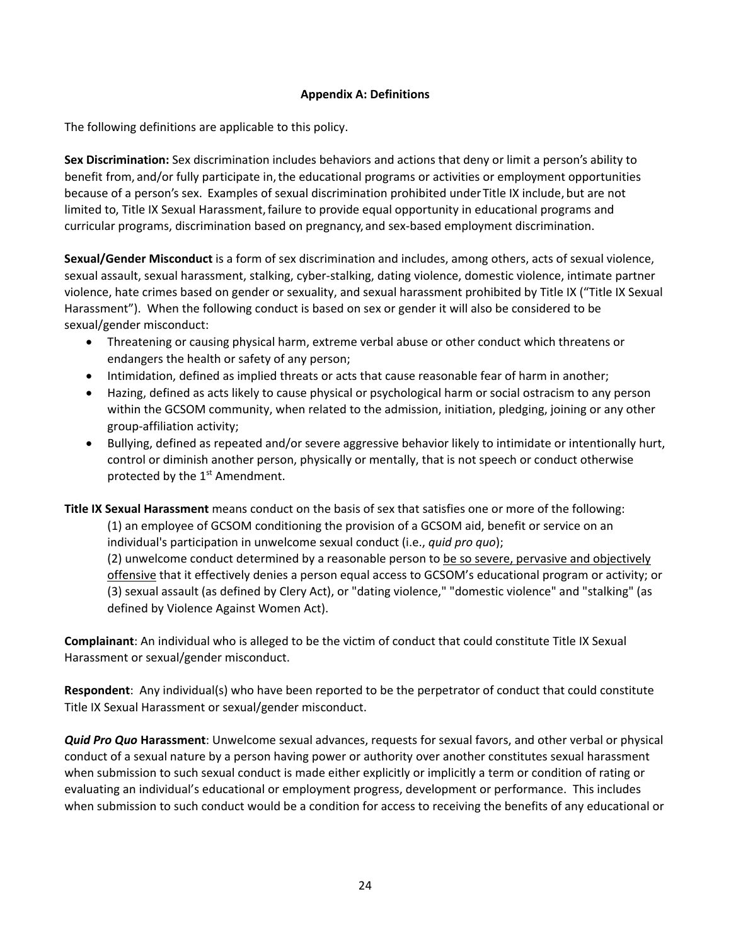### **Appendix A: Definitions**

The following definitions are applicable to this policy.

**Sex Discrimination:** Sex discrimination includes behaviors and actions that deny or limit a person's ability to benefit from, and/or fully participate in, the educational programs or activities or employment opportunities because of a person's sex. Examples of sexual discrimination prohibited underTitle IX include, but are not limited to, Title IX Sexual Harassment, failure to provide equal opportunity in educational programs and curricular programs, discrimination based on pregnancy, and sex‐based employment discrimination.

**Sexual/Gender Misconduct** is a form of sex discrimination and includes, among others, acts of sexual violence, sexual assault, sexual harassment, stalking, cyber‐stalking, dating violence, domestic violence, intimate partner violence, hate crimes based on gender or sexuality, and sexual harassment prohibited by Title IX ("Title IX Sexual Harassment"). When the following conduct is based on sex or gender it will also be considered to be sexual/gender misconduct:

- Threatening or causing physical harm, extreme verbal abuse or other conduct which threatens or endangers the health or safety of any person;
- Intimidation, defined as implied threats or acts that cause reasonable fear of harm in another;
- Hazing, defined as acts likely to cause physical or psychological harm or social ostracism to any person within the GCSOM community, when related to the admission, initiation, pledging, joining or any other group‐affiliation activity;
- Bullying, defined as repeated and/or severe aggressive behavior likely to intimidate or intentionally hurt, control or diminish another person, physically or mentally, that is not speech or conduct otherwise protected by the  $1<sup>st</sup>$  Amendment.

**Title IX Sexual Harassment** means conduct on the basis of sex that satisfies one or more of the following: (1) an employee of GCSOM conditioning the provision of a GCSOM aid, benefit or service on an individual's participation in unwelcome sexual conduct (i.e., *quid pro quo*); (2) unwelcome conduct determined by a reasonable person to be so severe, pervasive and objectively offensive that it effectively denies a person equal access to GCSOM's educational program or activity; or (3) sexual assault (as defined by Clery Act), or "dating violence," "domestic violence" and "stalking" (as defined by Violence Against Women Act).

**Complainant**: An individual who is alleged to be the victim of conduct that could constitute Title IX Sexual Harassment or sexual/gender misconduct.

**Respondent**: Any individual(s) who have been reported to be the perpetrator of conduct that could constitute Title IX Sexual Harassment or sexual/gender misconduct.

*Quid Pro Quo* **Harassment**: Unwelcome sexual advances, requests for sexual favors, and other verbal or physical conduct of a sexual nature by a person having power or authority over another constitutes sexual harassment when submission to such sexual conduct is made either explicitly or implicitly a term or condition of rating or evaluating an individual's educational or employment progress, development or performance. This includes when submission to such conduct would be a condition for access to receiving the benefits of any educational or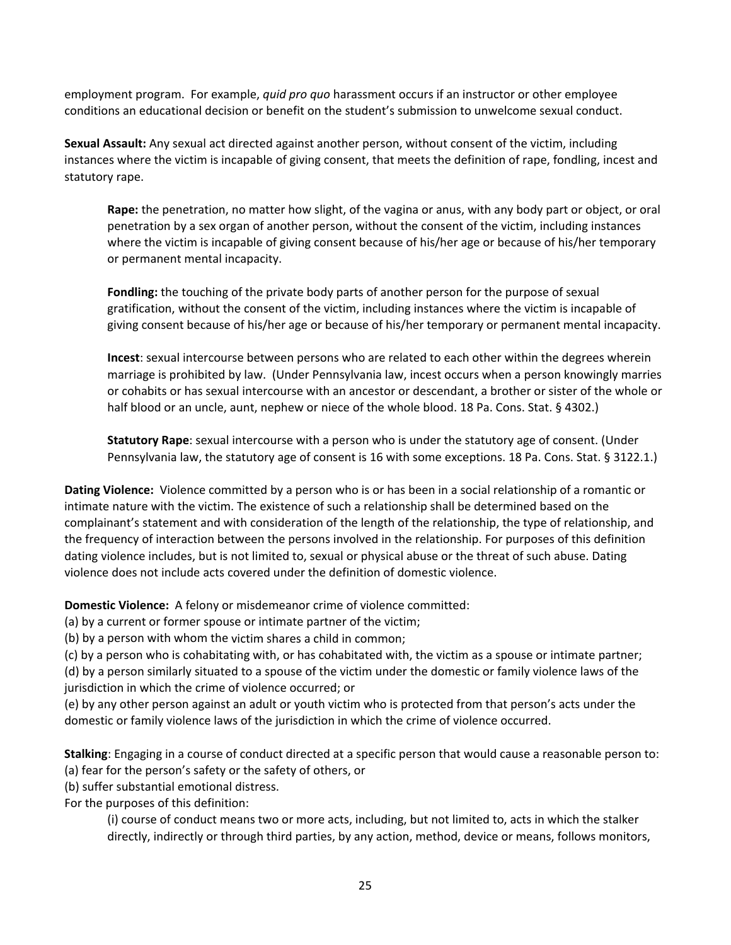employment program. For example, *quid pro quo* harassment occurs if an instructor or other employee conditions an educational decision or benefit on the student's submission to unwelcome sexual conduct.

**Sexual Assault:** Any sexual act directed against another person, without consent of the victim, including instances where the victim is incapable of giving consent, that meets the definition of rape, fondling, incest and statutory rape.

**Rape:** the penetration, no matter how slight, of the vagina or anus, with any body part or object, or oral penetration by a sex organ of another person, without the consent of the victim, including instances where the victim is incapable of giving consent because of his/her age or because of his/her temporary or permanent mental incapacity.

**Fondling:** the touching of the private body parts of another person for the purpose of sexual gratification, without the consent of the victim, including instances where the victim is incapable of giving consent because of his/her age or because of his/her temporary or permanent mental incapacity.

**Incest**: sexual intercourse between persons who are related to each other within the degrees wherein marriage is prohibited by law. (Under Pennsylvania law, incest occurs when a person knowingly marries or cohabits or has sexual intercourse with an ancestor or descendant, a brother or sister of the whole or half blood or an uncle, aunt, nephew or niece of the whole blood. 18 Pa. Cons. Stat. § 4302.)

**Statutory Rape**: sexual intercourse with a person who is under the statutory age of consent. (Under Pennsylvania law, the statutory age of consent is 16 with some exceptions. 18 Pa. Cons. Stat. § 3122.1.)

**Dating Violence:** Violence committed by a person who is or has been in a social relationship of a romantic or intimate nature with the victim. The existence of such a relationship shall be determined based on the complainant's statement and with consideration of the length of the relationship, the type of relationship, and the frequency of interaction between the persons involved in the relationship. For purposes of this definition dating violence includes, but is not limited to, sexual or physical abuse or the threat of such abuse. Dating violence does not include acts covered under the definition of domestic violence.

**Domestic Violence:** A felony or misdemeanor crime of violence committed:

(a) by a current or former spouse or intimate partner of the victim;

(b) by a person with whom the victim shares a child in common;

(c) by a person who is cohabitating with, or has cohabitated with, the victim as a spouse or intimate partner;

(d) by a person similarly situated to a spouse of the victim under the domestic or family violence laws of the jurisdiction in which the crime of violence occurred; or

(e) by any other person against an adult or youth victim who is protected from that person's acts under the domestic or family violence laws of the jurisdiction in which the crime of violence occurred.

**Stalking**: Engaging in a course of conduct directed at a specific person that would cause a reasonable person to:

(a) fear for the person's safety or the safety of others, or

(b) suffer substantial emotional distress.

For the purposes of this definition:

(i) course of conduct means two or more acts, including, but not limited to, acts in which the stalker directly, indirectly or through third parties, by any action, method, device or means, follows monitors,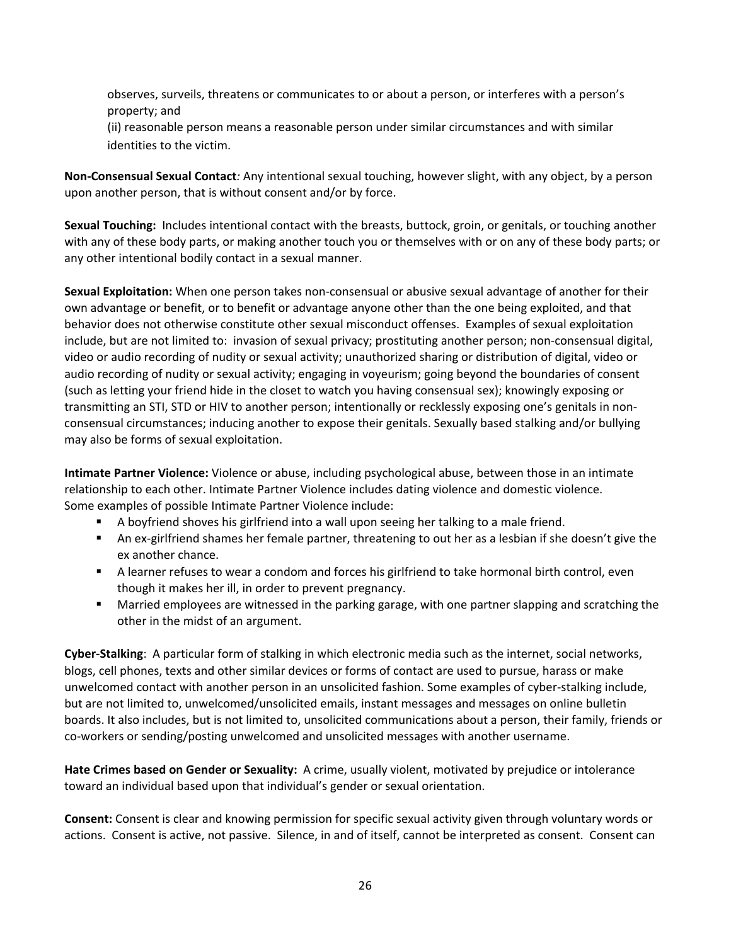observes, surveils, threatens or communicates to or about a person, or interferes with a person's property; and

(ii) reasonable person means a reasonable person under similar circumstances and with similar identities to the victim.

**Non‐Consensual Sexual Contact***:* Any intentional sexual touching, however slight, with any object, by a person upon another person, that is without consent and/or by force.

**Sexual Touching:** Includes intentional contact with the breasts, buttock, groin, or genitals, or touching another with any of these body parts, or making another touch you or themselves with or on any of these body parts; or any other intentional bodily contact in a sexual manner.

**Sexual Exploitation:** When one person takes non‐consensual or abusive sexual advantage of another for their own advantage or benefit, or to benefit or advantage anyone other than the one being exploited, and that behavior does not otherwise constitute other sexual misconduct offenses. Examples of sexual exploitation include, but are not limited to: invasion of sexual privacy; prostituting another person; non‐consensual digital, video or audio recording of nudity or sexual activity; unauthorized sharing or distribution of digital, video or audio recording of nudity or sexual activity; engaging in voyeurism; going beyond the boundaries of consent (such as letting your friend hide in the closet to watch you having consensual sex); knowingly exposing or transmitting an STI, STD or HIV to another person; intentionally or recklessly exposing one's genitals in non‐ consensual circumstances; inducing another to expose their genitals. Sexually based stalking and/or bullying may also be forms of sexual exploitation.

**Intimate Partner Violence:** Violence or abuse, including psychological abuse, between those in an intimate relationship to each other. Intimate Partner Violence includes dating violence and domestic violence. Some examples of possible Intimate Partner Violence include:

- A boyfriend shoves his girlfriend into a wall upon seeing her talking to a male friend.
- An ex-girlfriend shames her female partner, threatening to out her as a lesbian if she doesn't give the ex another chance.
- A learner refuses to wear a condom and forces his girlfriend to take hormonal birth control, even though it makes her ill, in order to prevent pregnancy.
- Married employees are witnessed in the parking garage, with one partner slapping and scratching the other in the midst of an argument.

**Cyber‐Stalking**: A particular form of stalking in which electronic media such as the internet, social networks, blogs, cell phones, texts and other similar devices or forms of contact are used to pursue, harass or make unwelcomed contact with another person in an unsolicited fashion. Some examples of cyber‐stalking include, but are not limited to, unwelcomed/unsolicited emails, instant messages and messages on online bulletin boards. It also includes, but is not limited to, unsolicited communications about a person, their family, friends or co‐workers or sending/posting unwelcomed and unsolicited messages with another username.

**Hate Crimes based on Gender or Sexuality:** A crime, usually violent, motivated by prejudice or intolerance toward an individual based upon that individual's gender or sexual orientation.

**Consent:** Consent is clear and knowing permission for specific sexual activity given through voluntary words or actions. Consent is active, not passive. Silence, in and of itself, cannot be interpreted as consent. Consent can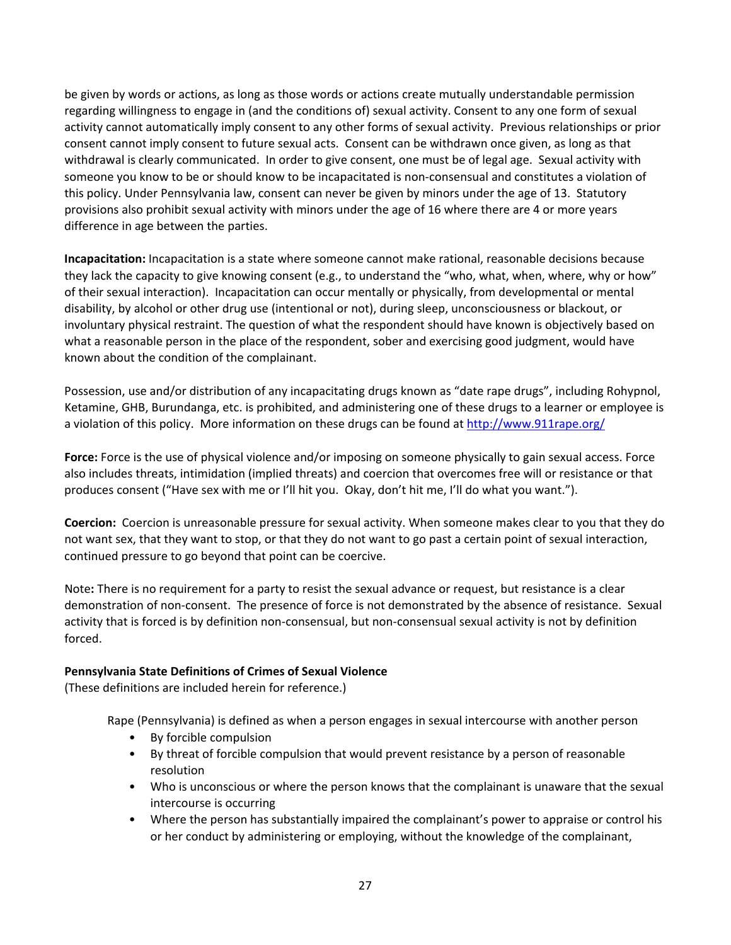be given by words or actions, as long as those words or actions create mutually understandable permission regarding willingness to engage in (and the conditions of) sexual activity. Consent to any one form of sexual activity cannot automatically imply consent to any other forms of sexual activity. Previous relationships or prior consent cannot imply consent to future sexual acts. Consent can be withdrawn once given, as long as that withdrawal is clearly communicated. In order to give consent, one must be of legal age. Sexual activity with someone you know to be or should know to be incapacitated is non-consensual and constitutes a violation of this policy. Under Pennsylvania law, consent can never be given by minors under the age of 13. Statutory provisions also prohibit sexual activity with minors under the age of 16 where there are 4 or more years difference in age between the parties.

**Incapacitation:** Incapacitation is a state where someone cannot make rational, reasonable decisions because they lack the capacity to give knowing consent (e.g., to understand the "who, what, when, where, why or how" of their sexual interaction). Incapacitation can occur mentally or physically, from developmental or mental disability, by alcohol or other drug use (intentional or not), during sleep, unconsciousness or blackout, or involuntary physical restraint. The question of what the respondent should have known is objectively based on what a reasonable person in the place of the respondent, sober and exercising good judgment, would have known about the condition of the complainant.

Possession, use and/or distribution of any incapacitating drugs known as "date rape drugs", including Rohypnol, Ketamine, GHB, Burundanga, etc. is prohibited, and administering one of these drugs to a learner or employee is a violation of this policy. More information on these drugs can be found at http://www.911rape.org/

**Force:** Force is the use of physical violence and/or imposing on someone physically to gain sexual access. Force also includes threats, intimidation (implied threats) and coercion that overcomes free will or resistance or that produces consent ("Have sex with me or I'll hit you. Okay, don't hit me, I'll do what you want.").

**Coercion:** Coercion is unreasonable pressure for sexual activity. When someone makes clear to you that they do not want sex, that they want to stop, or that they do not want to go past a certain point of sexual interaction, continued pressure to go beyond that point can be coercive.

Note**:** There is no requirement for a party to resist the sexual advance or request, but resistance is a clear demonstration of non‐consent. The presence of force is not demonstrated by the absence of resistance. Sexual activity that is forced is by definition non‐consensual, but non‐consensual sexual activity is not by definition forced.

## **Pennsylvania State Definitions of Crimes of Sexual Violence**

(These definitions are included herein for reference.)

Rape (Pennsylvania) is defined as when a person engages in sexual intercourse with another person

- By forcible compulsion
- By threat of forcible compulsion that would prevent resistance by a person of reasonable resolution
- Who is unconscious or where the person knows that the complainant is unaware that the sexual intercourse is occurring
- Where the person has substantially impaired the complainant's power to appraise or control his or her conduct by administering or employing, without the knowledge of the complainant,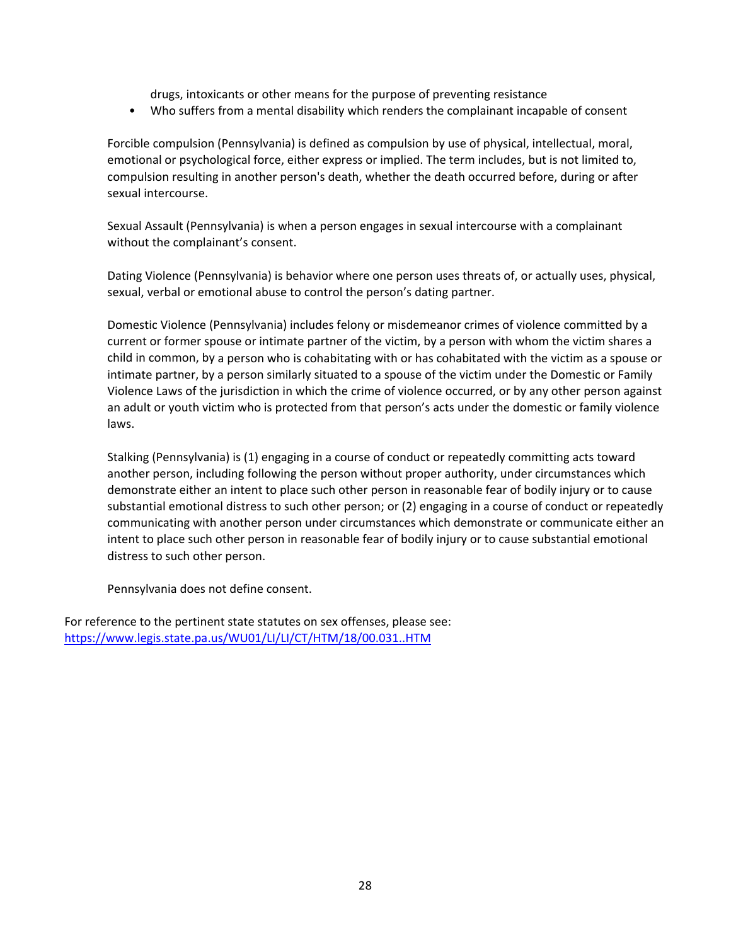drugs, intoxicants or other means for the purpose of preventing resistance

• Who suffers from a mental disability which renders the complainant incapable of consent

Forcible compulsion (Pennsylvania) is defined as compulsion by use of physical, intellectual, moral, emotional or psychological force, either express or implied. The term includes, but is not limited to, compulsion resulting in another person's death, whether the death occurred before, during or after sexual intercourse.

Sexual Assault (Pennsylvania) is when a person engages in sexual intercourse with a complainant without the complainant's consent.

Dating Violence (Pennsylvania) is behavior where one person uses threats of, or actually uses, physical, sexual, verbal or emotional abuse to control the person's dating partner.

Domestic Violence (Pennsylvania) includes felony or misdemeanor crimes of violence committed by a current or former spouse or intimate partner of the victim, by a person with whom the victim shares a child in common, by a person who is cohabitating with or has cohabitated with the victim as a spouse or intimate partner, by a person similarly situated to a spouse of the victim under the Domestic or Family Violence Laws of the jurisdiction in which the crime of violence occurred, or by any other person against an adult or youth victim who is protected from that person's acts under the domestic or family violence laws.

Stalking (Pennsylvania) is (1) engaging in a course of conduct or repeatedly committing acts toward another person, including following the person without proper authority, under circumstances which demonstrate either an intent to place such other person in reasonable fear of bodily injury or to cause substantial emotional distress to such other person; or (2) engaging in a course of conduct or repeatedly communicating with another person under circumstances which demonstrate or communicate either an intent to place such other person in reasonable fear of bodily injury or to cause substantial emotional distress to such other person.

Pennsylvania does not define consent.

For reference to the pertinent state statutes on sex offenses, please see: https://www.legis.state.pa.us/WU01/LI/LI/CT/HTM/18/00.031..HTM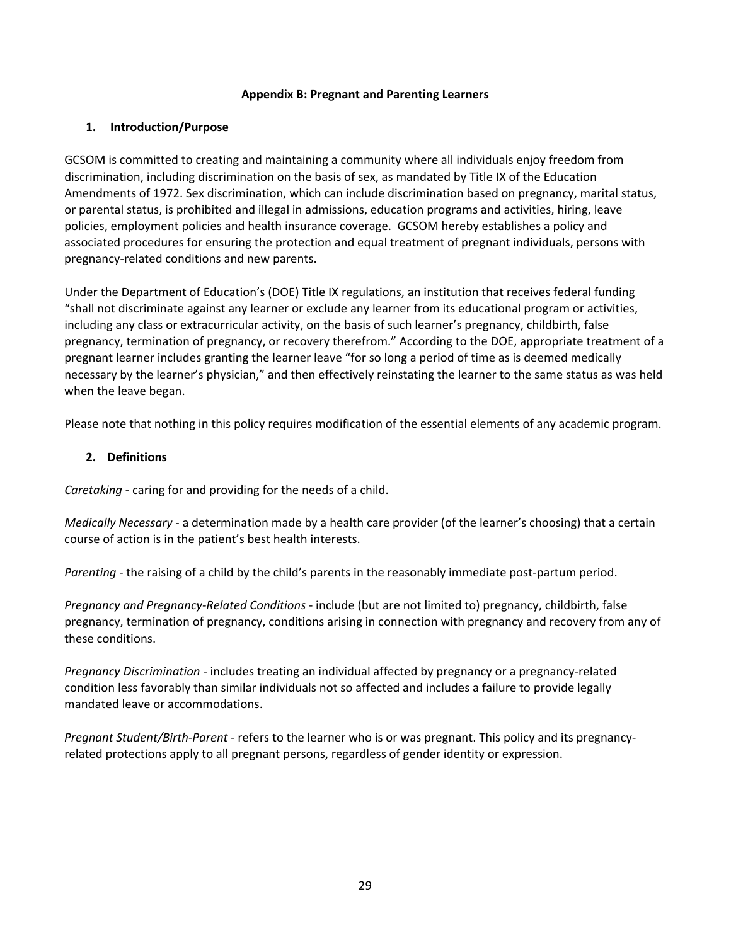### **Appendix B: Pregnant and Parenting Learners**

## **1. Introduction/Purpose**

GCSOM is committed to creating and maintaining a community where all individuals enjoy freedom from discrimination, including discrimination on the basis of sex, as mandated by Title IX of the Education Amendments of 1972. Sex discrimination, which can include discrimination based on pregnancy, marital status, or parental status, is prohibited and illegal in admissions, education programs and activities, hiring, leave policies, employment policies and health insurance coverage. GCSOM hereby establishes a policy and associated procedures for ensuring the protection and equal treatment of pregnant individuals, persons with pregnancy‐related conditions and new parents.

Under the Department of Education's (DOE) Title IX regulations, an institution that receives federal funding "shall not discriminate against any learner or exclude any learner from its educational program or activities, including any class or extracurricular activity, on the basis of such learner's pregnancy, childbirth, false pregnancy, termination of pregnancy, or recovery therefrom." According to the DOE, appropriate treatment of a pregnant learner includes granting the learner leave "for so long a period of time as is deemed medically necessary by the learner's physician," and then effectively reinstating the learner to the same status as was held when the leave began.

Please note that nothing in this policy requires modification of the essential elements of any academic program.

### **2. Definitions**

*Caretaking* ‐ caring for and providing for the needs of a child.

*Medically Necessary* ‐ a determination made by a health care provider (of the learner's choosing) that a certain course of action is in the patient's best health interests.

*Parenting* - the raising of a child by the child's parents in the reasonably immediate post-partum period.

*Pregnancy and Pregnancy‐Related Conditions* ‐ include (but are not limited to) pregnancy, childbirth, false pregnancy, termination of pregnancy, conditions arising in connection with pregnancy and recovery from any of these conditions.

*Pregnancy Discrimination* ‐ includes treating an individual affected by pregnancy or a pregnancy‐related condition less favorably than similar individuals not so affected and includes a failure to provide legally mandated leave or accommodations.

*Pregnant Student/Birth‐Parent* ‐ refers to the learner who is or was pregnant. This policy and its pregnancy‐ related protections apply to all pregnant persons, regardless of gender identity or expression.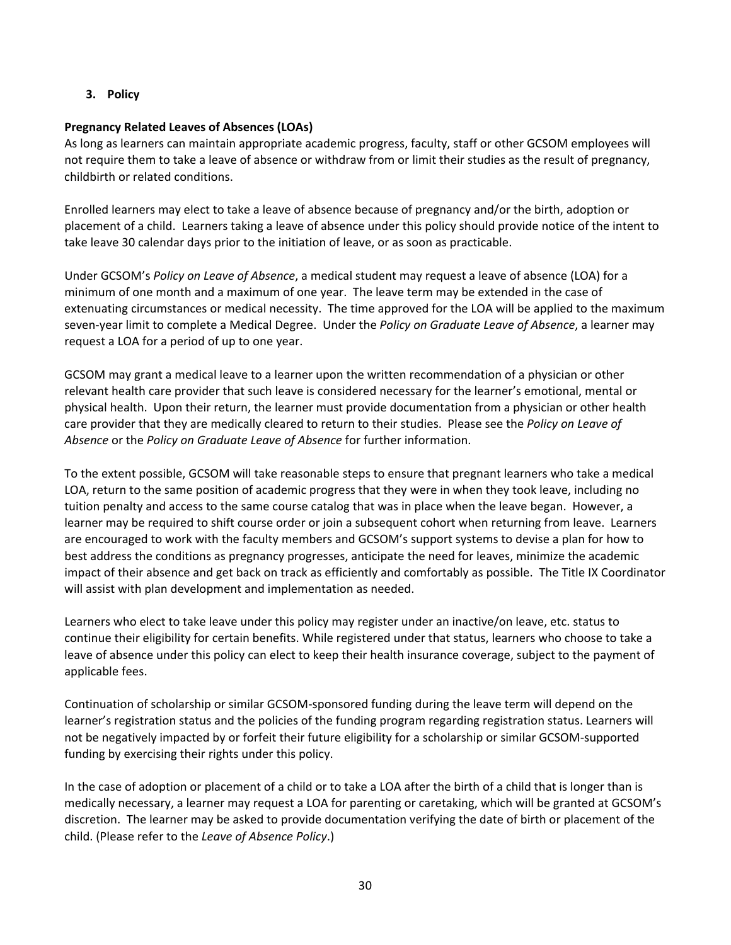### **3. Policy**

### **Pregnancy Related Leaves of Absences (LOAs)**

As long as learners can maintain appropriate academic progress, faculty, staff or other GCSOM employees will not require them to take a leave of absence or withdraw from or limit their studies as the result of pregnancy, childbirth or related conditions.

Enrolled learners may elect to take a leave of absence because of pregnancy and/or the birth, adoption or placement of a child. Learners taking a leave of absence under this policy should provide notice of the intent to take leave 30 calendar days prior to the initiation of leave, or as soon as practicable.

Under GCSOM's *Policy on Leave of Absence*, a medical student may request a leave of absence (LOA) for a minimum of one month and a maximum of one year. The leave term may be extended in the case of extenuating circumstances or medical necessity. The time approved for the LOA will be applied to the maximum seven‐year limit to complete a Medical Degree. Under the *Policy on Graduate Leave of Absence*, a learner may request a LOA for a period of up to one year.

GCSOM may grant a medical leave to a learner upon the written recommendation of a physician or other relevant health care provider that such leave is considered necessary for the learner's emotional, mental or physical health. Upon their return, the learner must provide documentation from a physician or other health care provider that they are medically cleared to return to their studies. Please see the *Policy on Leave of Absence* or the *Policy on Graduate Leave of Absence* for further information.

To the extent possible, GCSOM will take reasonable steps to ensure that pregnant learners who take a medical LOA, return to the same position of academic progress that they were in when they took leave, including no tuition penalty and access to the same course catalog that was in place when the leave began. However, a learner may be required to shift course order or join a subsequent cohort when returning from leave. Learners are encouraged to work with the faculty members and GCSOM's support systems to devise a plan for how to best address the conditions as pregnancy progresses, anticipate the need for leaves, minimize the academic impact of their absence and get back on track as efficiently and comfortably as possible. The Title IX Coordinator will assist with plan development and implementation as needed.

Learners who elect to take leave under this policy may register under an inactive/on leave, etc. status to continue their eligibility for certain benefits. While registered under that status, learners who choose to take a leave of absence under this policy can elect to keep their health insurance coverage, subject to the payment of applicable fees.

Continuation of scholarship or similar GCSOM‐sponsored funding during the leave term will depend on the learner's registration status and the policies of the funding program regarding registration status. Learners will not be negatively impacted by or forfeit their future eligibility for a scholarship or similar GCSOM‐supported funding by exercising their rights under this policy.

In the case of adoption or placement of a child or to take a LOA after the birth of a child that is longer than is medically necessary, a learner may request a LOA for parenting or caretaking, which will be granted at GCSOM's discretion. The learner may be asked to provide documentation verifying the date of birth or placement of the child. (Please refer to the *Leave of Absence Policy*.)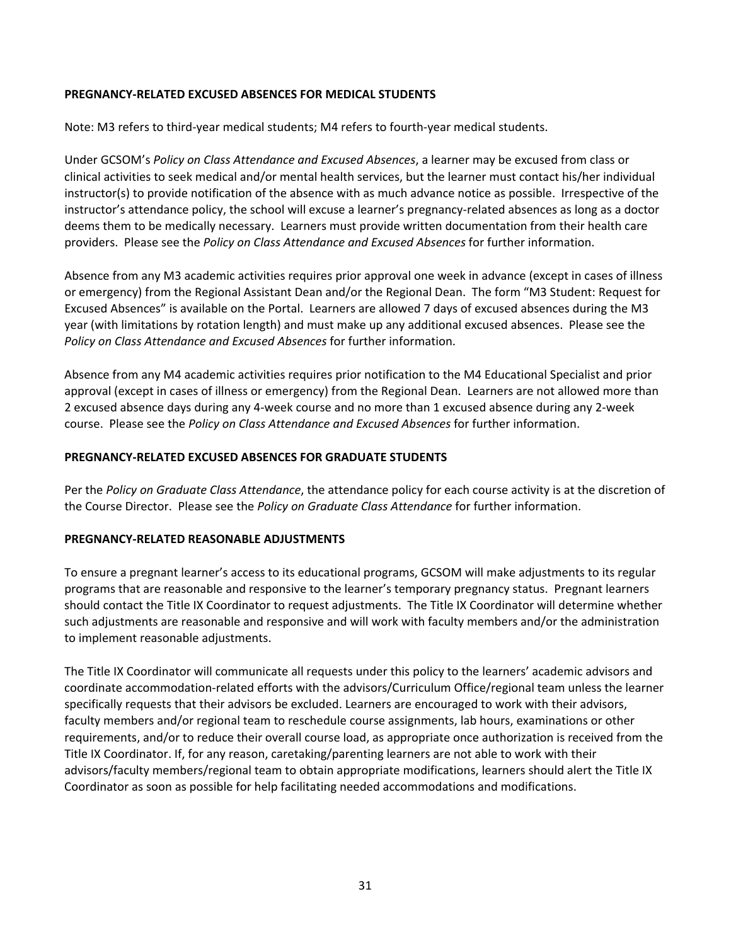### **PREGNANCY‐RELATED EXCUSED ABSENCES FOR MEDICAL STUDENTS**

Note: M3 refers to third‐year medical students; M4 refers to fourth‐year medical students.

Under GCSOM's *Policy on Class Attendance and Excused Absences*, a learner may be excused from class or clinical activities to seek medical and/or mental health services, but the learner must contact his/her individual instructor(s) to provide notification of the absence with as much advance notice as possible. Irrespective of the instructor's attendance policy, the school will excuse a learner's pregnancy-related absences as long as a doctor deems them to be medically necessary. Learners must provide written documentation from their health care providers. Please see the *Policy on Class Attendance and Excused Absences* for further information.

Absence from any M3 academic activities requires prior approval one week in advance (except in cases of illness or emergency) from the Regional Assistant Dean and/or the Regional Dean. The form "M3 Student: Request for Excused Absences" is available on the Portal. Learners are allowed 7 days of excused absences during the M3 year (with limitations by rotation length) and must make up any additional excused absences. Please see the *Policy on Class Attendance and Excused Absences* for further information.

Absence from any M4 academic activities requires prior notification to the M4 Educational Specialist and prior approval (except in cases of illness or emergency) from the Regional Dean. Learners are not allowed more than 2 excused absence days during any 4‐week course and no more than 1 excused absence during any 2‐week course. Please see the *Policy on Class Attendance and Excused Absences* for further information.

### **PREGNANCY‐RELATED EXCUSED ABSENCES FOR GRADUATE STUDENTS**

Per the *Policy on Graduate Class Attendance*, the attendance policy for each course activity is at the discretion of the Course Director. Please see the *Policy on Graduate Class Attendance* for further information.

### **PREGNANCY‐RELATED REASONABLE ADJUSTMENTS**

To ensure a pregnant learner's access to its educational programs, GCSOM will make adjustments to its regular programs that are reasonable and responsive to the learner's temporary pregnancy status. Pregnant learners should contact the Title IX Coordinator to request adjustments. The Title IX Coordinator will determine whether such adjustments are reasonable and responsive and will work with faculty members and/or the administration to implement reasonable adjustments.

The Title IX Coordinator will communicate all requests under this policy to the learners' academic advisors and coordinate accommodation‐related efforts with the advisors/Curriculum Office/regional team unless the learner specifically requests that their advisors be excluded. Learners are encouraged to work with their advisors, faculty members and/or regional team to reschedule course assignments, lab hours, examinations or other requirements, and/or to reduce their overall course load, as appropriate once authorization is received from the Title IX Coordinator. If, for any reason, caretaking/parenting learners are not able to work with their advisors/faculty members/regional team to obtain appropriate modifications, learners should alert the Title IX Coordinator as soon as possible for help facilitating needed accommodations and modifications.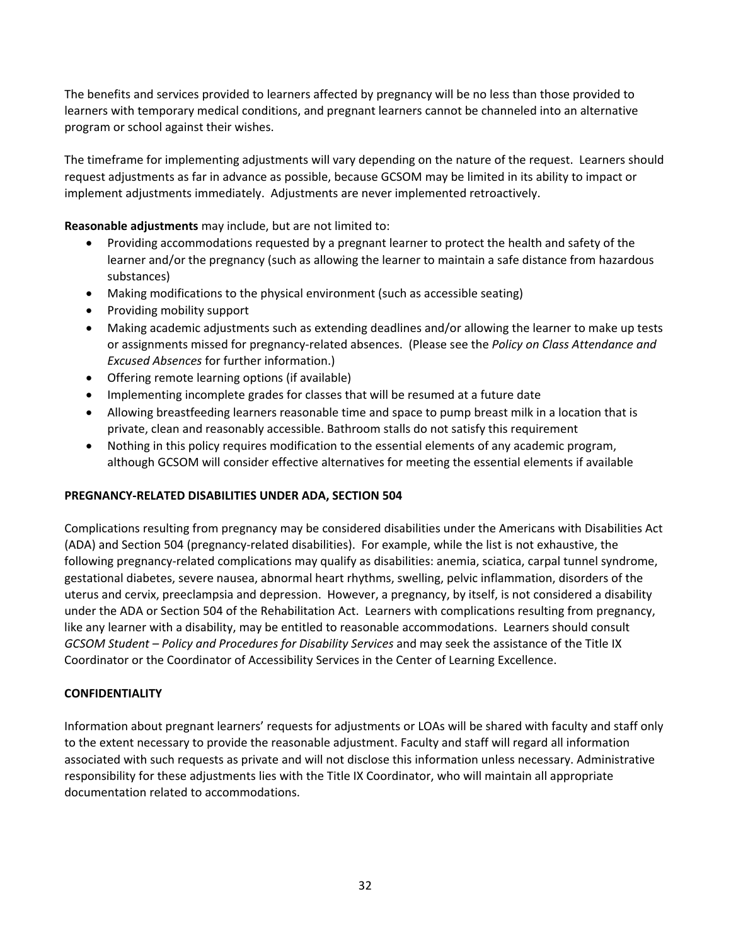The benefits and services provided to learners affected by pregnancy will be no less than those provided to learners with temporary medical conditions, and pregnant learners cannot be channeled into an alternative program or school against their wishes.

The timeframe for implementing adjustments will vary depending on the nature of the request. Learners should request adjustments as far in advance as possible, because GCSOM may be limited in its ability to impact or implement adjustments immediately. Adjustments are never implemented retroactively.

**Reasonable adjustments** may include, but are not limited to:

- Providing accommodations requested by a pregnant learner to protect the health and safety of the learner and/or the pregnancy (such as allowing the learner to maintain a safe distance from hazardous substances)
- Making modifications to the physical environment (such as accessible seating)
- Providing mobility support
- Making academic adjustments such as extending deadlines and/or allowing the learner to make up tests or assignments missed for pregnancy‐related absences. (Please see the *Policy on Class Attendance and Excused Absences* for further information.)
- Offering remote learning options (if available)
- Implementing incomplete grades for classes that will be resumed at a future date
- Allowing breastfeeding learners reasonable time and space to pump breast milk in a location that is private, clean and reasonably accessible. Bathroom stalls do not satisfy this requirement
- Nothing in this policy requires modification to the essential elements of any academic program, although GCSOM will consider effective alternatives for meeting the essential elements if available

## **PREGNANCY‐RELATED DISABILITIES UNDER ADA, SECTION 504**

Complications resulting from pregnancy may be considered disabilities under the Americans with Disabilities Act (ADA) and Section 504 (pregnancy-related disabilities). For example, while the list is not exhaustive, the following pregnancy-related complications may qualify as disabilities: anemia, sciatica, carpal tunnel syndrome, gestational diabetes, severe nausea, abnormal heart rhythms, swelling, pelvic inflammation, disorders of the uterus and cervix, preeclampsia and depression. However, a pregnancy, by itself, is not considered a disability under the ADA or Section 504 of the Rehabilitation Act. Learners with complications resulting from pregnancy, like any learner with a disability, may be entitled to reasonable accommodations. Learners should consult *GCSOM Student – Policy and Procedures for Disability Services* and may seek the assistance of the Title IX Coordinator or the Coordinator of Accessibility Services in the Center of Learning Excellence.

### **CONFIDENTIALITY**

Information about pregnant learners' requests for adjustments or LOAs will be shared with faculty and staff only to the extent necessary to provide the reasonable adjustment. Faculty and staff will regard all information associated with such requests as private and will not disclose this information unless necessary. Administrative responsibility for these adjustments lies with the Title IX Coordinator, who will maintain all appropriate documentation related to accommodations.